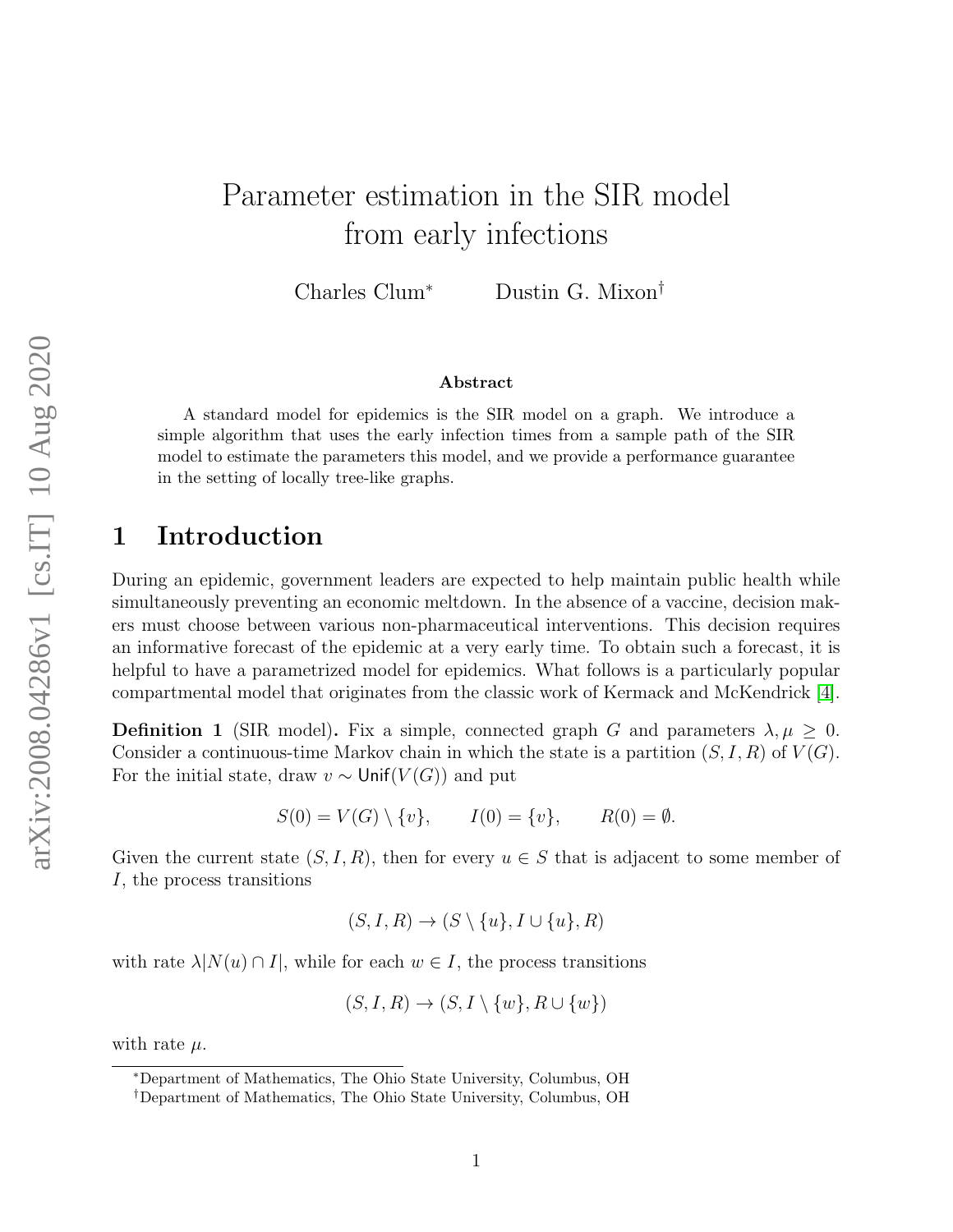# Parameter estimation in the SIR model from early infections

Charles Clum<sup>∗</sup> Dustin G. Mixon†

#### Abstract

A standard model for epidemics is the SIR model on a graph. We introduce a simple algorithm that uses the early infection times from a sample path of the SIR model to estimate the parameters this model, and we provide a performance guarantee in the setting of locally tree-like graphs.

#### 1 Introduction

During an epidemic, government leaders are expected to help maintain public health while simultaneously preventing an economic meltdown. In the absence of a vaccine, decision makers must choose between various non-pharmaceutical interventions. This decision requires an informative forecast of the epidemic at a very early time. To obtain such a forecast, it is helpful to have a parametrized model for epidemics. What follows is a particularly popular compartmental model that originates from the classic work of Kermack and McKendrick [\[4\]](#page-16-0).

**Definition 1** (SIR model). Fix a simple, connected graph G and parameters  $\lambda, \mu \geq 0$ . Consider a continuous-time Markov chain in which the state is a partition  $(S, I, R)$  of  $V(G)$ . For the initial state, draw  $v \sim$  Unif( $V(G)$ ) and put

$$
S(0) = V(G) \setminus \{v\}, \qquad I(0) = \{v\}, \qquad R(0) = \emptyset.
$$

Given the current state  $(S, I, R)$ , then for every  $u \in S$  that is adjacent to some member of I, the process transitions

$$
(S, I, R) \to (S \setminus \{u\}, I \cup \{u\}, R)
$$

with rate  $\lambda |N(u) \cap I|$ , while for each  $w \in I$ , the process transitions

$$
(S, I, R) \to (S, I \setminus \{w\}, R \cup \{w\})
$$

with rate  $\mu$ .

<sup>∗</sup>Department of Mathematics, The Ohio State University, Columbus, OH

<sup>†</sup>Department of Mathematics, The Ohio State University, Columbus, OH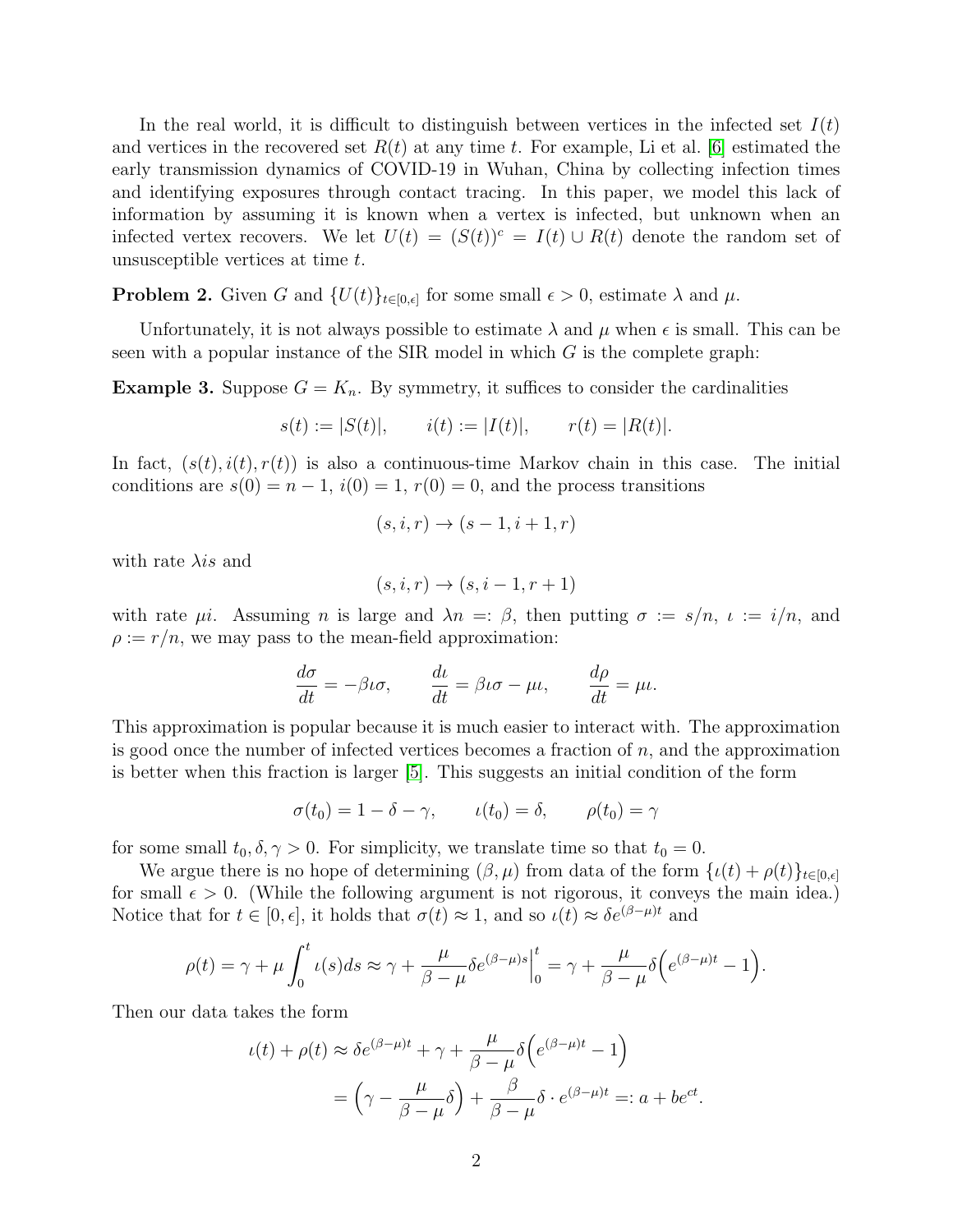In the real world, it is difficult to distinguish between vertices in the infected set  $I(t)$ and vertices in the recovered set  $R(t)$  at any time t. For example, Li et al. [\[6\]](#page-16-1) estimated the early transmission dynamics of COVID-19 in Wuhan, China by collecting infection times and identifying exposures through contact tracing. In this paper, we model this lack of information by assuming it is known when a vertex is infected, but unknown when an infected vertex recovers. We let  $U(t) = (S(t))^c = I(t) \cup R(t)$  denote the random set of unsusceptible vertices at time t.

**Problem 2.** Given G and  $\{U(t)\}_{t\in[0,\epsilon]}$  for some small  $\epsilon > 0$ , estimate  $\lambda$  and  $\mu$ .

Unfortunately, it is not always possible to estimate  $\lambda$  and  $\mu$  when  $\epsilon$  is small. This can be seen with a popular instance of the SIR model in which  $G$  is the complete graph:

**Example 3.** Suppose  $G = K_n$ . By symmetry, it suffices to consider the cardinalities

$$
s(t) := |S(t)|
$$
,  $i(t) := |I(t)|$ ,  $r(t) = |R(t)|$ .

In fact,  $(s(t), i(t), r(t))$  is also a continuous-time Markov chain in this case. The initial conditions are  $s(0) = n - 1$ ,  $i(0) = 1$ ,  $r(0) = 0$ , and the process transitions

$$
(s, i, r) \rightarrow (s - 1, i + 1, r)
$$

with rate  $\lambda$ *is* and

$$
(s, i, r) \rightarrow (s, i - 1, r + 1)
$$

with rate  $\mu i$ . Assuming *n* is large and  $\lambda n =:\beta$ , then putting  $\sigma := s/n$ ,  $\iota := i/n$ , and  $\rho := r/n$ , we may pass to the mean-field approximation:

$$
\frac{d\sigma}{dt} = -\beta \iota \sigma, \qquad \frac{d\iota}{dt} = \beta \iota \sigma - \mu \iota, \qquad \frac{d\rho}{dt} = \mu \iota.
$$

This approximation is popular because it is much easier to interact with. The approximation is good once the number of infected vertices becomes a fraction of  $n$ , and the approximation is better when this fraction is larger [\[5\]](#page-16-2). This suggests an initial condition of the form

$$
\sigma(t_0) = 1 - \delta - \gamma, \qquad \iota(t_0) = \delta, \qquad \rho(t_0) = \gamma
$$

for some small  $t_0, \delta, \gamma > 0$ . For simplicity, we translate time so that  $t_0 = 0$ .

We argue there is no hope of determining  $(\beta, \mu)$  from data of the form  $\{\iota(t) + \rho(t)\}_{t \in [0,\epsilon]}$ for small  $\epsilon > 0$ . (While the following argument is not rigorous, it conveys the main idea.) Notice that for  $t \in [0, \epsilon]$ , it holds that  $\sigma(t) \approx 1$ , and so  $\iota(t) \approx \delta e^{(\beta - \mu)t}$  and

$$
\rho(t) = \gamma + \mu \int_0^t \iota(s)ds \approx \gamma + \frac{\mu}{\beta - \mu} \delta e^{(\beta - \mu)s} \Big|_0^t = \gamma + \frac{\mu}{\beta - \mu} \delta \Big( e^{(\beta - \mu)t} - 1 \Big).
$$

Then our data takes the form

$$
\iota(t) + \rho(t) \approx \delta e^{(\beta - \mu)t} + \gamma + \frac{\mu}{\beta - \mu} \delta \left( e^{(\beta - \mu)t} - 1 \right)
$$

$$
= \left( \gamma - \frac{\mu}{\beta - \mu} \delta \right) + \frac{\beta}{\beta - \mu} \delta \cdot e^{(\beta - \mu)t} =: a + be^{ct}.
$$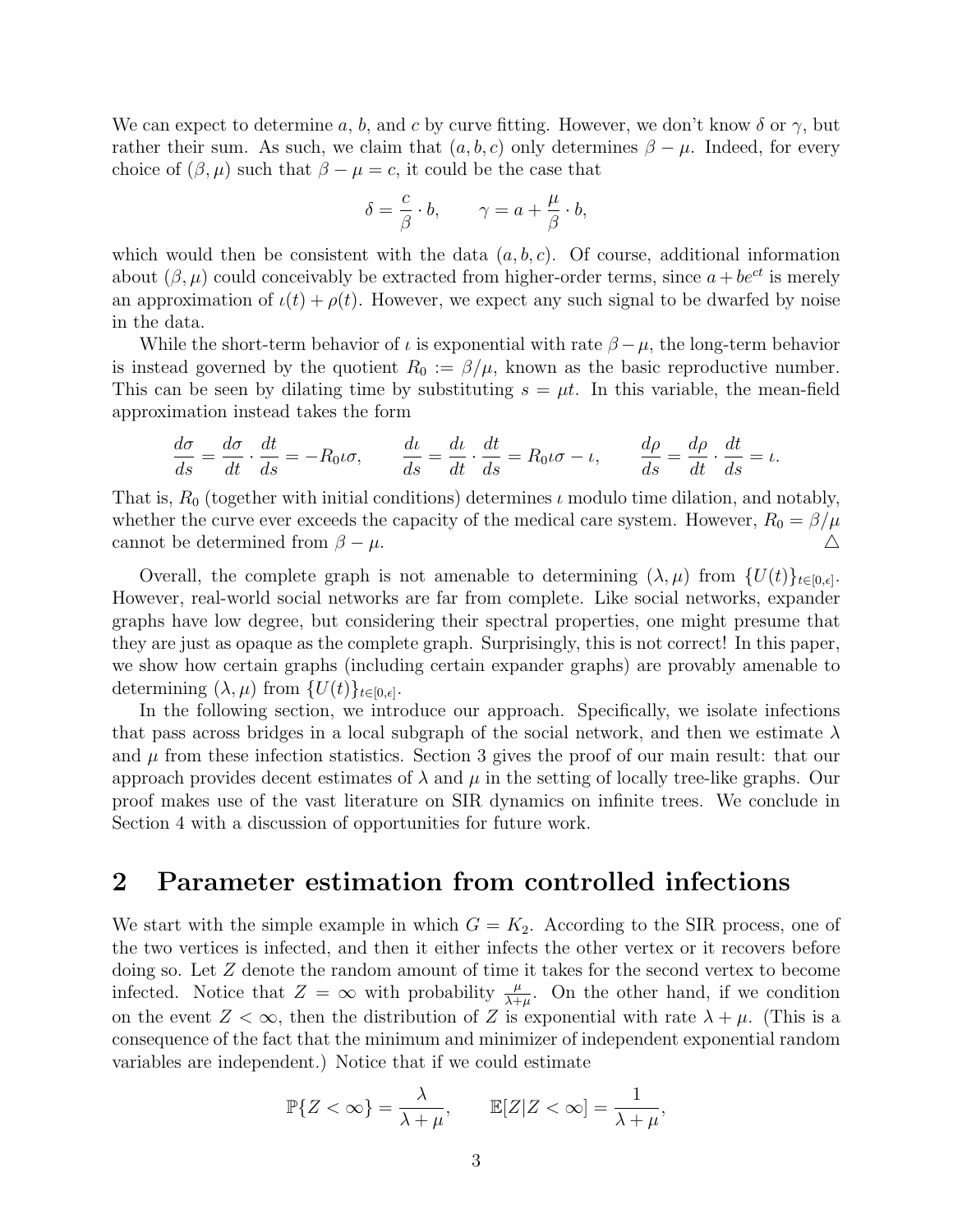We can expect to determine a, b, and c by curve fitting. However, we don't know  $\delta$  or  $\gamma$ , but rather their sum. As such, we claim that  $(a, b, c)$  only determines  $\beta - \mu$ . Indeed, for every choice of  $(\beta, \mu)$  such that  $\beta - \mu = c$ , it could be the case that

$$
\delta = \frac{c}{\beta} \cdot b, \qquad \gamma = a + \frac{\mu}{\beta} \cdot b,
$$

which would then be consistent with the data  $(a, b, c)$ . Of course, additional information about  $(\beta, \mu)$  could conceivably be extracted from higher-order terms, since  $a + be^{ct}$  is merely an approximation of  $\iota(t) + \rho(t)$ . However, we expect any such signal to be dwarfed by noise in the data.

While the short-term behavior of  $\iota$  is exponential with rate  $\beta - \mu$ , the long-term behavior is instead governed by the quotient  $R_0 := \beta/\mu$ , known as the basic reproductive number. This can be seen by dilating time by substituting  $s = \mu t$ . In this variable, the mean-field approximation instead takes the form

$$
\frac{d\sigma}{ds} = \frac{d\sigma}{dt} \cdot \frac{dt}{ds} = -R_0 \iota \sigma, \qquad \frac{d\iota}{ds} = \frac{d\iota}{dt} \cdot \frac{dt}{ds} = R_0 \iota \sigma - \iota, \qquad \frac{d\rho}{ds} = \frac{d\rho}{dt} \cdot \frac{dt}{ds} = \iota.
$$

That is,  $R_0$  (together with initial conditions) determines  $\iota$  modulo time dilation, and notably, whether the curve ever exceeds the capacity of the medical care system. However,  $R_0 = \beta/\mu$ cannot be determined from  $\beta - \mu$ .

Overall, the complete graph is not amenable to determining  $(\lambda, \mu)$  from  $\{U(t)\}_{t\in [0,\epsilon]}$ . However, real-world social networks are far from complete. Like social networks, expander graphs have low degree, but considering their spectral properties, one might presume that they are just as opaque as the complete graph. Surprisingly, this is not correct! In this paper, we show how certain graphs (including certain expander graphs) are provably amenable to determining  $(\lambda, \mu)$  from  $\{U(t)\}_{t\in[0,\epsilon]}.$ 

In the following section, we introduce our approach. Specifically, we isolate infections that pass across bridges in a local subgraph of the social network, and then we estimate  $\lambda$ and  $\mu$  from these infection statistics. Section 3 gives the proof of our main result: that our approach provides decent estimates of  $\lambda$  and  $\mu$  in the setting of locally tree-like graphs. Our proof makes use of the vast literature on SIR dynamics on infinite trees. We conclude in Section 4 with a discussion of opportunities for future work.

#### 2 Parameter estimation from controlled infections

We start with the simple example in which  $G = K_2$ . According to the SIR process, one of the two vertices is infected, and then it either infects the other vertex or it recovers before doing so. Let Z denote the random amount of time it takes for the second vertex to become infected. Notice that  $Z = \infty$  with probability  $\frac{\mu}{\lambda + \mu}$ . On the other hand, if we condition on the event  $Z < \infty$ , then the distribution of Z is exponential with rate  $\lambda + \mu$ . (This is a consequence of the fact that the minimum and minimizer of independent exponential random variables are independent.) Notice that if we could estimate

$$
\mathbb{P}\{Z < \infty\} = \frac{\lambda}{\lambda + \mu}, \qquad \mathbb{E}[Z|Z < \infty] = \frac{1}{\lambda + \mu},
$$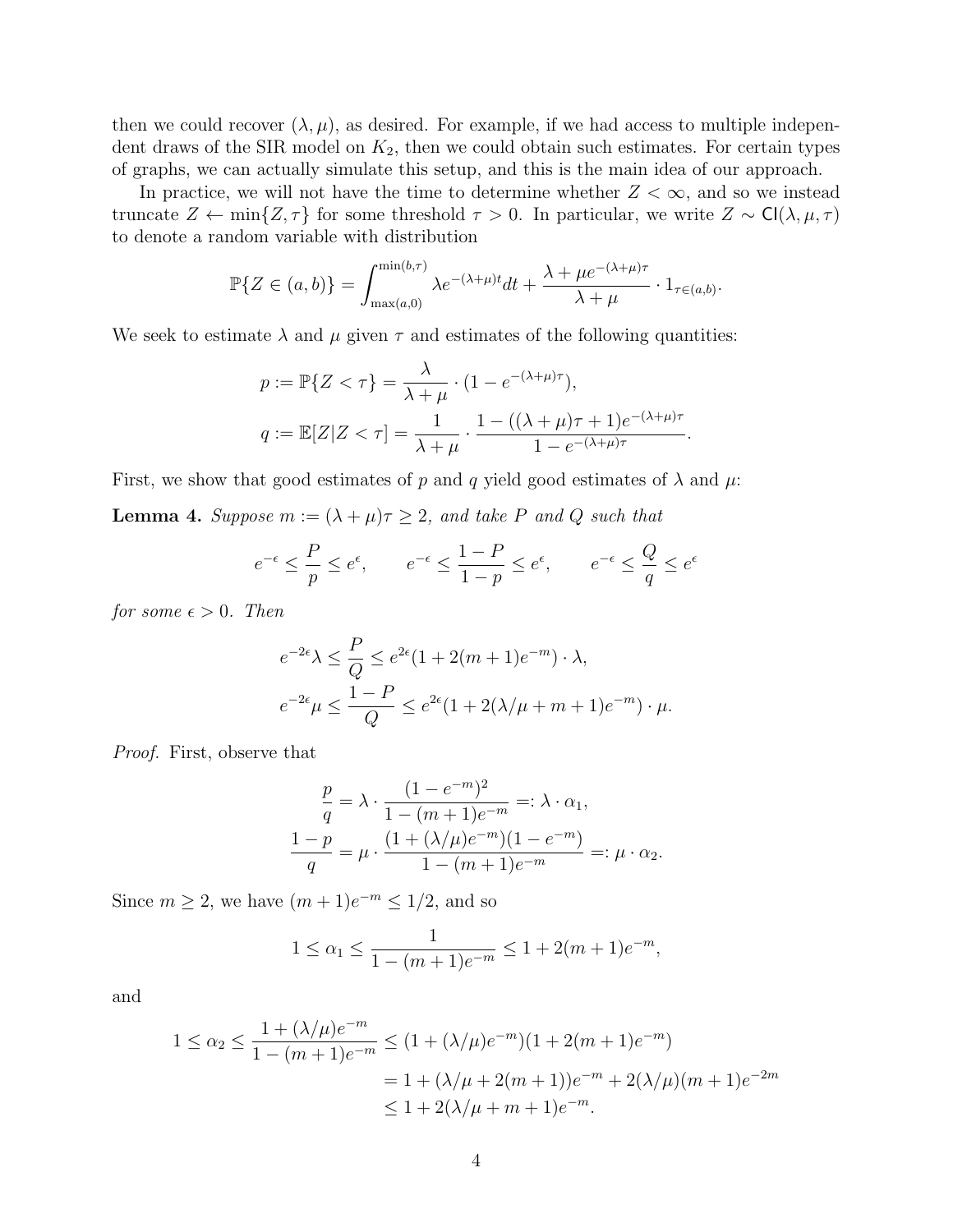then we could recover  $(\lambda, \mu)$ , as desired. For example, if we had access to multiple independent draws of the SIR model on  $K_2$ , then we could obtain such estimates. For certain types of graphs, we can actually simulate this setup, and this is the main idea of our approach.

In practice, we will not have the time to determine whether  $Z < \infty$ , and so we instead truncate  $Z \leftarrow \min\{Z, \tau\}$  for some threshold  $\tau > 0$ . In particular, we write  $Z \sim \text{Cl}(\lambda, \mu, \tau)$ to denote a random variable with distribution

$$
\mathbb{P}\{Z \in (a,b)\} = \int_{\max(a,0)}^{\min(b,\tau)} \lambda e^{-(\lambda+\mu)t} dt + \frac{\lambda + \mu e^{-(\lambda+\mu)\tau}}{\lambda+\mu} \cdot 1_{\tau \in (a,b)}.
$$

We seek to estimate  $\lambda$  and  $\mu$  given  $\tau$  and estimates of the following quantities:

$$
p := \mathbb{P}\{Z < \tau\} = \frac{\lambda}{\lambda + \mu} \cdot (1 - e^{-(\lambda + \mu)\tau}),
$$
\n
$$
q := \mathbb{E}[Z|Z < \tau] = \frac{1}{\lambda + \mu} \cdot \frac{1 - ((\lambda + \mu)\tau + 1)e^{-(\lambda + \mu)\tau}}{1 - e^{-(\lambda + \mu)\tau}}.
$$

First, we show that good estimates of p and q yield good estimates of  $\lambda$  and  $\mu$ :

<span id="page-3-0"></span>**Lemma 4.** Suppose  $m := (\lambda + \mu)\tau \geq 2$ , and take P and Q such that

$$
e^{-\epsilon} \leq \frac{P}{p} \leq e^{\epsilon}, \qquad e^{-\epsilon} \leq \frac{1-P}{1-p} \leq e^{\epsilon}, \qquad e^{-\epsilon} \leq \frac{Q}{q} \leq e^{\epsilon}
$$

for some  $\epsilon > 0$ . Then

$$
e^{-2\epsilon}\lambda \leq \frac{P}{Q} \leq e^{2\epsilon}(1 + 2(m+1)e^{-m}) \cdot \lambda,
$$
  

$$
e^{-2\epsilon}\mu \leq \frac{1-P}{Q} \leq e^{2\epsilon}(1 + 2(\lambda/\mu + m + 1)e^{-m}) \cdot \mu.
$$

Proof. First, observe that

$$
\frac{p}{q} = \lambda \cdot \frac{(1 - e^{-m})^2}{1 - (m + 1)e^{-m}} =: \lambda \cdot \alpha_1,
$$
  

$$
\frac{1 - p}{q} = \mu \cdot \frac{(1 + (\lambda/\mu)e^{-m})(1 - e^{-m})}{1 - (m + 1)e^{-m}} =: \mu \cdot \alpha_2.
$$

Since  $m \geq 2$ , we have  $(m+1)e^{-m} \leq 1/2$ , and so

$$
1 \le \alpha_1 \le \frac{1}{1 - (m+1)e^{-m}} \le 1 + 2(m+1)e^{-m},
$$

and

$$
1 \le \alpha_2 \le \frac{1 + (\lambda/\mu)e^{-m}}{1 - (m+1)e^{-m}} \le (1 + (\lambda/\mu)e^{-m})(1 + 2(m+1)e^{-m})
$$
  
= 1 + (\lambda/\mu + 2(m+1))e^{-m} + 2(\lambda/\mu)(m+1)e^{-2m}  
 $\le 1 + 2(\lambda/\mu + m + 1)e^{-m}$ .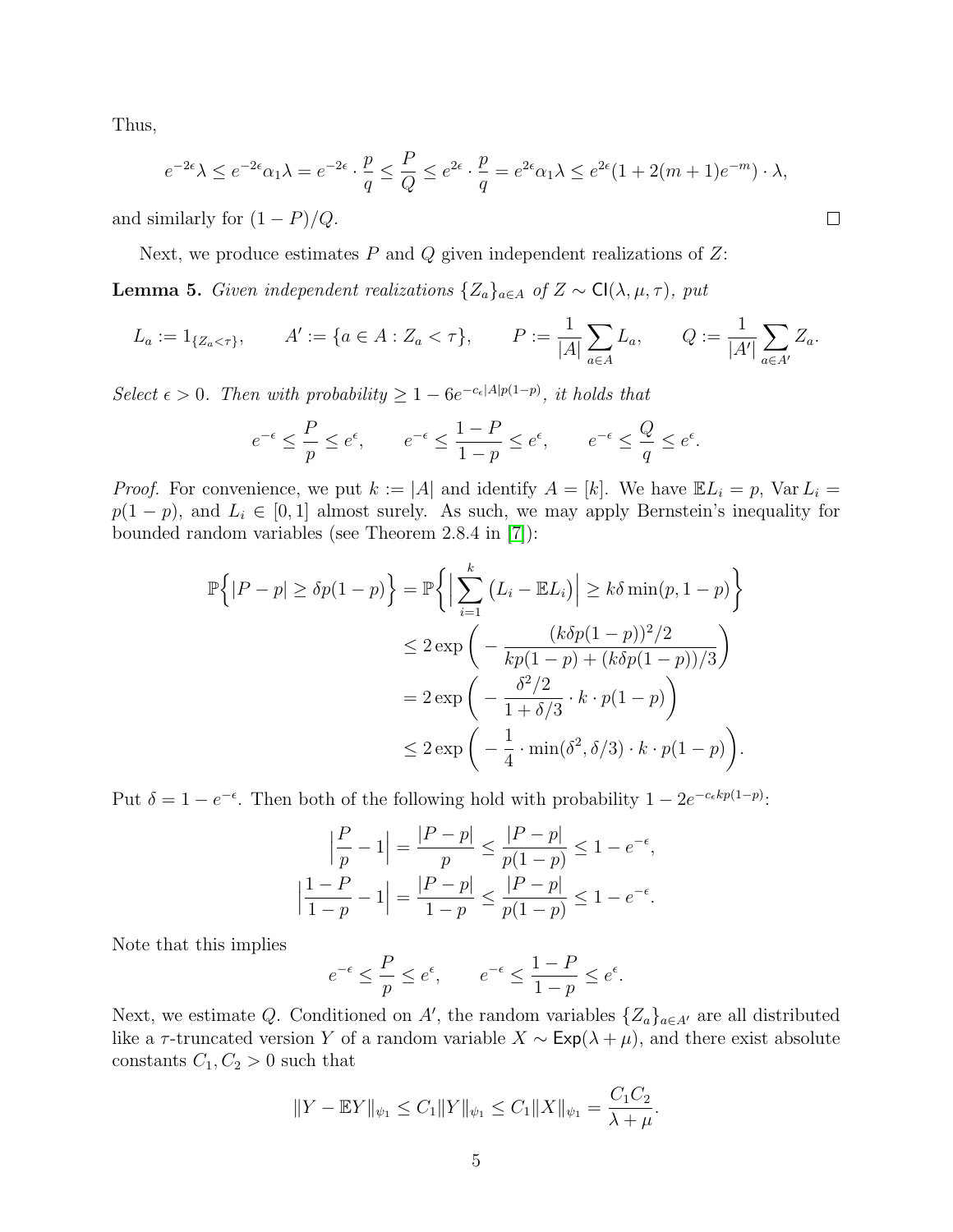Thus,

$$
e^{-2\epsilon}\lambda \le e^{-2\epsilon}\alpha_1\lambda = e^{-2\epsilon} \cdot \frac{p}{q} \le \frac{P}{Q} \le e^{2\epsilon} \cdot \frac{p}{q} = e^{2\epsilon}\alpha_1\lambda \le e^{2\epsilon}(1+2(m+1)e^{-m}) \cdot \lambda,
$$

and similarly for  $(1 - P)/Q$ .

Next, we produce estimates  $P$  and  $Q$  given independent realizations of  $Z$ :

<span id="page-4-0"></span>**Lemma 5.** Given independent realizations  $\{Z_a\}_{a \in A}$  of  $Z \sim \text{Cl}(\lambda, \mu, \tau)$ , put

$$
L_a := 1_{\{Z_a < \tau\}}, \qquad A' := \{a \in A : Z_a < \tau\}, \qquad P := \frac{1}{|A|} \sum_{a \in A} L_a, \qquad Q := \frac{1}{|A'|} \sum_{a \in A'} Z_a.
$$

Select  $\epsilon > 0$ . Then with probability  $\geq 1 - 6e^{-c_{\epsilon}[A]p(1-p)}$ , it holds that

$$
e^{-\epsilon} \leq \frac{P}{p} \leq e^{\epsilon}, \qquad e^{-\epsilon} \leq \frac{1-P}{1-p} \leq e^{\epsilon}, \qquad e^{-\epsilon} \leq \frac{Q}{q} \leq e^{\epsilon}.
$$

*Proof.* For convenience, we put  $k := |A|$  and identify  $A = [k]$ . We have  $\mathbb{E} L_i = p$ ,  $\text{Var } L_i =$  $p(1 - p)$ , and  $L_i \in [0, 1]$  almost surely. As such, we may apply Bernstein's inequality for bounded random variables (see Theorem 2.8.4 in [\[7\]](#page-16-3)):

$$
\mathbb{P}\left\{|P-p| \geq \delta p(1-p)\right\} = \mathbb{P}\left\{\left|\sum_{i=1}^{k} (L_i - \mathbb{E}L_i)\right| \geq k\delta \min(p, 1-p)\right\}
$$
  
\n
$$
\leq 2 \exp\left(-\frac{(k\delta p(1-p))^2/2}{kp(1-p)+(k\delta p(1-p))/3}\right)
$$
  
\n
$$
= 2 \exp\left(-\frac{\delta^2/2}{1+\delta/3} \cdot k \cdot p(1-p)\right)
$$
  
\n
$$
\leq 2 \exp\left(-\frac{1}{4} \cdot \min(\delta^2, \delta/3) \cdot k \cdot p(1-p)\right).
$$

Put  $\delta = 1 - e^{-\epsilon}$ . Then both of the following hold with probability  $1 - 2e^{-c_{\epsilon}kp(1-p)}$ .

$$
\left|\frac{P}{p} - 1\right| = \frac{|P - p|}{p} \le \frac{|P - p|}{p(1 - p)} \le 1 - e^{-\epsilon},
$$

$$
\left|\frac{1 - P}{1 - p} - 1\right| = \frac{|P - p|}{1 - p} \le \frac{|P - p|}{p(1 - p)} \le 1 - e^{-\epsilon}.
$$

Note that this implies

$$
e^{-\epsilon} \leq \frac{P}{p} \leq e^{\epsilon}, \qquad e^{-\epsilon} \leq \frac{1-P}{1-p} \leq e^{\epsilon}.
$$

Next, we estimate Q. Conditioned on A', the random variables  $\{Z_a\}_{a \in A'}$  are all distributed like a  $\tau$ -truncated version Y of a random variable  $X \sim \text{Exp}(\lambda + \mu)$ , and there exist absolute constants  $C_1, C_2 > 0$  such that

$$
||Y - \mathbb{E}Y||_{\psi_1} \leq C_1 ||Y||_{\psi_1} \leq C_1 ||X||_{\psi_1} = \frac{C_1 C_2}{\lambda + \mu}.
$$

$$
\qquad \qquad \Box
$$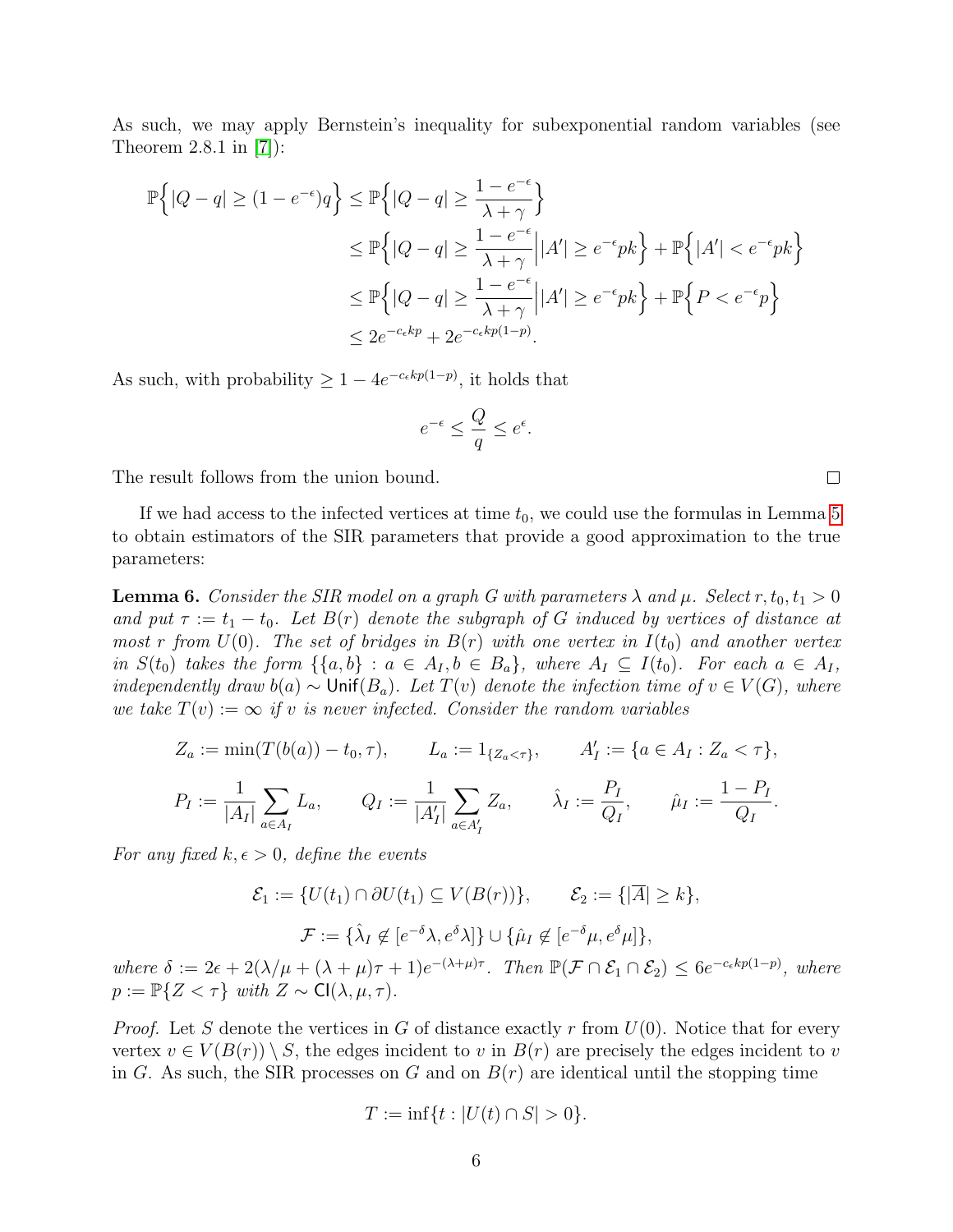As such, we may apply Bernstein's inequality for subexponential random variables (see Theorem 2.8.1 in [\[7\]](#page-16-3)):

$$
\mathbb{P}\left\{|Q-q|\geq (1-e^{-\epsilon})q\right\} \leq \mathbb{P}\left\{|Q-q|\geq \frac{1-e^{-\epsilon}}{\lambda+\gamma}\right\}
$$
  
\n
$$
\leq \mathbb{P}\left\{|Q-q|\geq \frac{1-e^{-\epsilon}}{\lambda+\gamma}\Big| |A'|\geq e^{-\epsilon}pk\right\}+\mathbb{P}\left\{|A'|\leq e^{-\epsilon}pk\right\}
$$
  
\n
$$
\leq \mathbb{P}\left\{|Q-q|\geq \frac{1-e^{-\epsilon}}{\lambda+\gamma}\Big| |A'|\geq e^{-\epsilon}pk\right\}+\mathbb{P}\left\{P  
\n
$$
\leq 2e^{-c_{\epsilon}kp}+2e^{-c_{\epsilon}kp(1-p)}.
$$
$$

As such, with probability  $\geq 1 - 4e^{-c_{\epsilon}kp(1-p)}$ , it holds that

$$
e^{-\epsilon} \le \frac{Q}{q} \le e^{\epsilon}.
$$

The result follows from the union bound.

If we had access to the infected vertices at time  $t_0$ , we could use the formulas in Lemma [5](#page-4-0) to obtain estimators of the SIR parameters that provide a good approximation to the true parameters:

<span id="page-5-0"></span>**Lemma 6.** Consider the SIR model on a graph G with parameters  $\lambda$  and  $\mu$ . Select  $r, t_0, t_1 > 0$ and put  $\tau := t_1 - t_0$ . Let  $B(r)$  denote the subgraph of G induced by vertices of distance at most r from  $U(0)$ . The set of bridges in  $B(r)$  with one vertex in  $I(t_0)$  and another vertex in  $S(t_0)$  takes the form  $\{\{a,b\} : a \in A_I, b \in B_a\}$ , where  $A_I \subseteq I(t_0)$ . For each  $a \in A_I$ , independently draw  $b(a) \sim \text{Unif}(B_a)$ . Let  $T(v)$  denote the infection time of  $v \in V(G)$ , where we take  $T(v) := \infty$  if v is never infected. Consider the random variables

$$
Z_a := \min(T(b(a)) - t_0, \tau), \qquad L_a := 1_{\{Z_a < \tau\}}, \qquad A'_I := \{a \in A_I : Z_a < \tau\},
$$
\n
$$
P_I := \frac{1}{|A_I|} \sum_{a \in A_I} L_a, \qquad Q_I := \frac{1}{|A'_I|} \sum_{a \in A'_I} Z_a, \qquad \hat{\lambda}_I := \frac{P_I}{Q_I}, \qquad \hat{\mu}_I := \frac{1 - P_I}{Q_I}.
$$

For any fixed  $k, \epsilon > 0$ , define the events

$$
\mathcal{E}_1 := \{ U(t_1) \cap \partial U(t_1) \subseteq V(B(r)) \}, \qquad \mathcal{E}_2 := \{ |\overline{A}| \ge k \},
$$
  

$$
\mathcal{F} := \{ \hat{\lambda}_I \not\in [e^{-\delta} \lambda, e^{\delta} \lambda] \} \cup \{ \hat{\mu}_I \not\in [e^{-\delta} \mu, e^{\delta} \mu] \},
$$

where  $\delta := 2\epsilon + 2(\lambda/\mu + (\lambda + \mu)\tau + 1)e^{-(\lambda + \mu)\tau}$ . Then  $\mathbb{P}(\mathcal{F} \cap \mathcal{E}_1 \cap \mathcal{E}_2) \leq 6e^{-c_{\epsilon}kp(1-p)}$ , where  $p := \mathbb{P}{Z < \tau}$  with  $Z \sim \mathsf{Cl}(\lambda, \mu, \tau)$ .

*Proof.* Let S denote the vertices in G of distance exactly r from  $U(0)$ . Notice that for every vertex  $v \in V(B(r)) \setminus S$ , the edges incident to v in  $B(r)$  are precisely the edges incident to v in G. As such, the SIR processes on G and on  $B(r)$  are identical until the stopping time

$$
T := \inf\{t : |U(t) \cap S| > 0\}.
$$

 $\Box$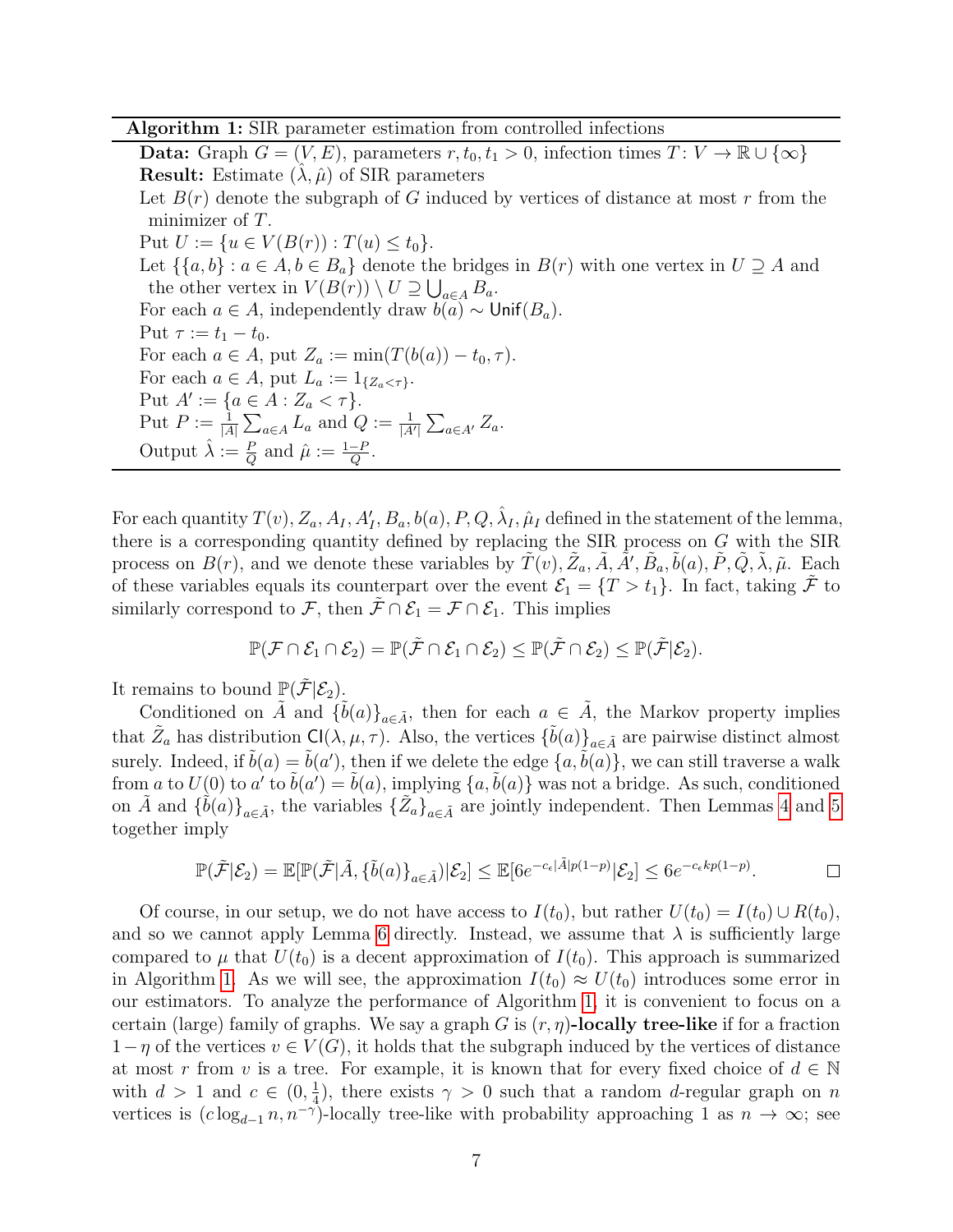Algorithm 1: SIR parameter estimation from controlled infections

Data: Graph  $G = (V, E)$ , parameters  $r, t_0, t_1 > 0$ , infection times  $T: V \to \mathbb{R} \cup \{\infty\}$ **Result:** Estimate  $(\lambda, \hat{\mu})$  of SIR parameters Let  $B(r)$  denote the subgraph of G induced by vertices of distance at most r from the minimizer of T. Put  $U := \{u \in V(B(r)) : T(u) \le t_0\}.$ Let  $\{\{a, b\} : a \in A, b \in B_a\}$  denote the bridges in  $B(r)$  with one vertex in  $U \supseteq A$  and the other vertex in  $V(B(r)) \setminus U \supseteq \bigcup_{a \in A} B_a$ . For each  $a \in A$ , independently draw  $b(a) \sim \text{Unif}(B_a)$ . Put  $\tau := t_1 - t_0$ . For each  $a \in A$ , put  $Z_a := \min(T(b(a)) - t_0, \tau)$ . For each  $a \in A$ , put  $L_a := 1_{\{Z_a < \tau\}}$ . Put  $A' := \{a \in A : Z_a < \tau\}.$ Put  $P := \frac{1}{|A|} \sum_{a \in A} L_a$  and  $Q := \frac{1}{|A'|} \sum_{a \in A'} Z_a$ . Output  $\hat{\lambda} := \frac{P}{Q}$  and  $\hat{\mu} := \frac{1-P}{Q}$ .

For each quantity  $T(v)$ ,  $Z_a$ ,  $A_I$ ,  $A_I'$ ,  $B_a$ ,  $b(a)$ ,  $P$ ,  $Q$ ,  $\hat{\lambda}_I$ ,  $\hat{\mu}_I$  defined in the statement of the lemma, there is a corresponding quantity defined by replacing the SIR process on G with the SIR process on  $B(r)$ , and we denote these variables by  $\tilde{T}(v)$ ,  $\tilde{Z}_a$ ,  $\tilde{A}$ ,  $\tilde{A}'$ ,  $\tilde{B}_a$ ,  $\tilde{b}(a)$ ,  $\tilde{P}$ ,  $\tilde{Q}$ ,  $\tilde{\lambda}$ ,  $\tilde{\mu}$ . Each of these variables equals its counterpart over the event  $\mathcal{E}_1 = \{T > t_1\}$ . In fact, taking  $\tilde{\mathcal{F}}$  to similarly correspond to F, then  $\tilde{\mathcal{F}} \cap \mathcal{E}_1 = \mathcal{F} \cap \mathcal{E}_1$ . This implies

<span id="page-6-0"></span>
$$
\mathbb{P}(\mathcal{F}\cap \mathcal{E}_1\cap \mathcal{E}_2)=\mathbb{P}(\tilde{\mathcal{F}}\cap \mathcal{E}_1\cap \mathcal{E}_2)\leq \mathbb{P}(\tilde{\mathcal{F}}\cap \mathcal{E}_2)\leq \mathbb{P}(\tilde{\mathcal{F}}|\mathcal{E}_2).
$$

It remains to bound  $\mathbb{P}(\tilde{\mathcal{F}}|\mathcal{E}_2)$ .

Conditioned on  $\tilde{A}$  and  $\{\tilde{b}(a)\}_{a\in\tilde{A}}$ , then for each  $a \in \tilde{A}$ , the Markov property implies that  $\tilde{Z}_a$  has distribution  $Cl(\lambda, \mu, \tau)$ . Also, the vertices  $\{\tilde{b}(a)\}_{a \in \tilde{A}}$  are pairwise distinct almost surely. Indeed, if  $\tilde{b}(a) = \tilde{b}(a')$ , then if we delete the edge  $\{a, \tilde{b}(a)\}$ , we can still traverse a walk from a to  $U(0)$  to  $a'$  to  $\tilde{b}(a') = \tilde{b}(a)$ , implying  $\{a, \tilde{b}(a)\}$  was not a bridge. As such, conditioned on  $\tilde{A}$  and  $\{\tilde{b}(a)\}_{a\in \tilde{A}}$ , the variables  $\{\tilde{Z}_a\}_{a\in \tilde{A}}$  are jointly independent. Then Lemmas [4](#page-3-0) and [5](#page-4-0) together imply

$$
\mathbb{P}(\tilde{\mathcal{F}}|\mathcal{E}_2) = \mathbb{E}[\mathbb{P}(\tilde{\mathcal{F}}|\tilde{A}, \{\tilde{b}(a)\}_{a \in \tilde{A}})|\mathcal{E}_2] \leq \mathbb{E}[6e^{-c_{\epsilon}|\tilde{A}|p(1-p)}|\mathcal{E}_2] \leq 6e^{-c_{\epsilon}kp(1-p)}.
$$

Of course, in our setup, we do not have access to  $I(t_0)$ , but rather  $U(t_0) = I(t_0) \cup R(t_0)$ , and so we cannot apply Lemma [6](#page-5-0) directly. Instead, we assume that  $\lambda$  is sufficiently large compared to  $\mu$  that  $U(t_0)$  is a decent approximation of  $I(t_0)$ . This approach is summarized in Algorithm [1.](#page-6-0) As we will see, the approximation  $I(t_0) \approx U(t_0)$  introduces some error in our estimators. To analyze the performance of Algorithm [1,](#page-6-0) it is convenient to focus on a certain (large) family of graphs. We say a graph G is  $(r, \eta)$ -locally tree-like if for a fraction  $1-\eta$  of the vertices  $v \in V(G)$ , it holds that the subgraph induced by the vertices of distance at most r from v is a tree. For example, it is known that for every fixed choice of  $d \in \mathbb{N}$ with  $d > 1$  and  $c \in (0, \frac{1}{4})$  $\frac{1}{4}$ ), there exists  $\gamma > 0$  such that a random d-regular graph on n vertices is  $(c \log_{d-1} n, n^{-\gamma})$ -locally tree-like with probability approaching 1 as  $n \to \infty$ ; see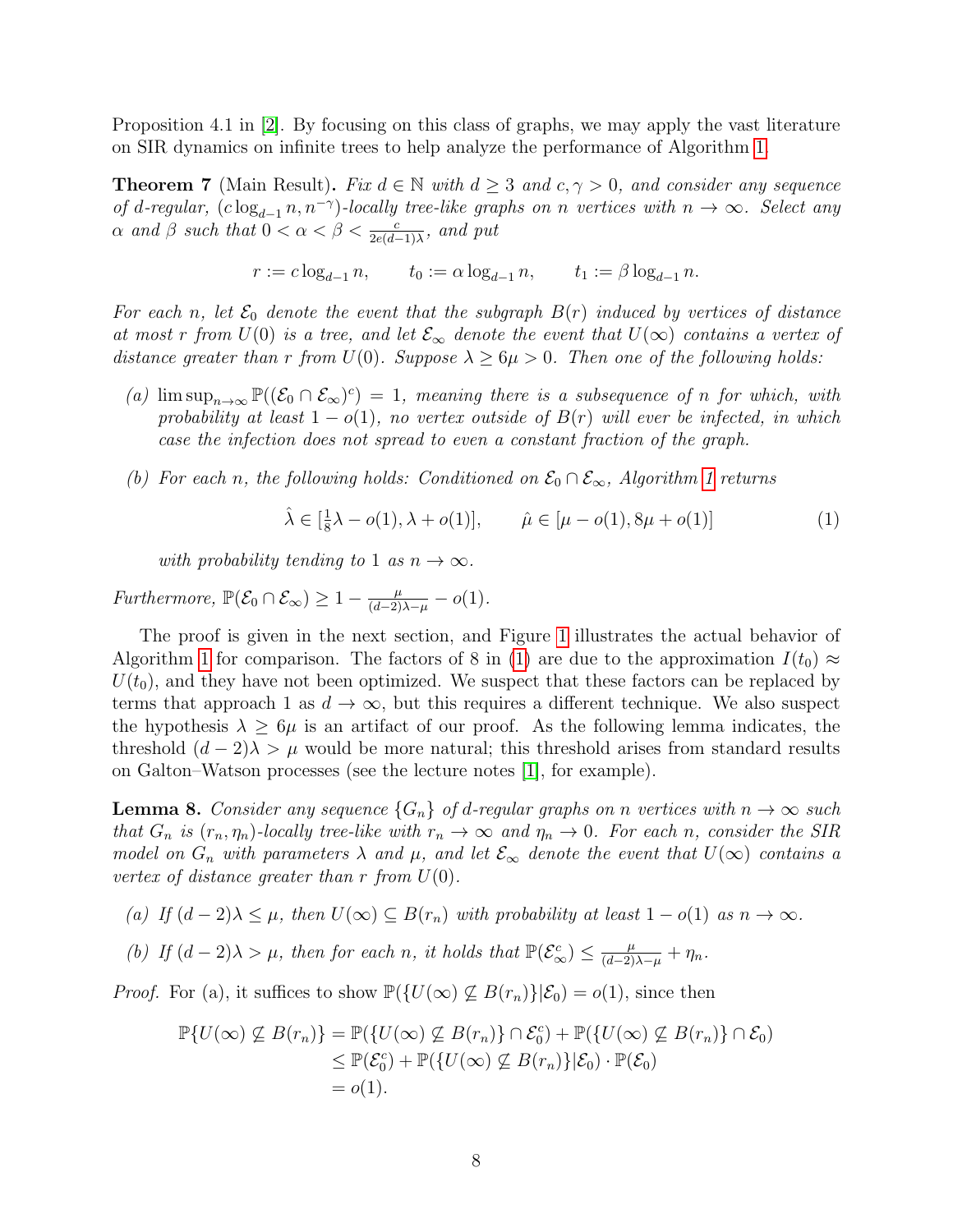Proposition 4.1 in [\[2\]](#page-16-4). By focusing on this class of graphs, we may apply the vast literature on SIR dynamics on infinite trees to help analyze the performance of Algorithm [1.](#page-6-0)

<span id="page-7-2"></span>**Theorem 7** (Main Result). Fix  $d \in \mathbb{N}$  with  $d \geq 3$  and  $c, \gamma > 0$ , and consider any sequence of d-regular,  $(c \log_{d-1} n, n^{-\gamma})$ -locally tree-like graphs on n vertices with  $n \to \infty$ . Select any  $\alpha$  and  $\beta$  such that  $0 < \alpha < \beta < \frac{c}{2e(d-1)\lambda}$ , and put

$$
r := c \log_{d-1} n
$$
,  $t_0 := \alpha \log_{d-1} n$ ,  $t_1 := \beta \log_{d-1} n$ .

For each n, let  $\mathcal{E}_0$  denote the event that the subgraph  $B(r)$  induced by vertices of distance at most r from  $U(0)$  is a tree, and let  $\mathcal{E}_{\infty}$  denote the event that  $U(\infty)$  contains a vertex of distance greater than r from  $U(0)$ . Suppose  $\lambda \geq 6\mu > 0$ . Then one of the following holds:

- (a)  $\limsup_{n\to\infty} \mathbb{P}((\mathcal{E}_0 \cap \mathcal{E}_{\infty})^c) = 1$ , meaning there is a subsequence of n for which, with probability at least  $1 - o(1)$ , no vertex outside of  $B(r)$  will ever be infected, in which case the infection does not spread to even a constant fraction of the graph.
- (b) For each n, the following holds: Conditioned on  $\mathcal{E}_0 \cap \mathcal{E}_{\infty}$ , Algorithm [1](#page-6-0) returns

<span id="page-7-0"></span>
$$
\hat{\lambda} \in [\frac{1}{8}\lambda - o(1), \lambda + o(1)], \qquad \hat{\mu} \in [\mu - o(1), 8\mu + o(1)]
$$
 (1)

with probability tending to 1 as  $n \to \infty$ .

Furthermore,  $\mathbb{P}(\mathcal{E}_0 \cap \mathcal{E}_{\infty}) \geq 1 - \frac{\mu}{(d-2)\lambda - \mu} - o(1)$ .

The proof is given in the next section, and Figure [1](#page-8-0) illustrates the actual behavior of Algorithm [1](#page-6-0) for comparison. The factors of 8 in [\(1\)](#page-7-0) are due to the approximation  $I(t_0) \approx$  $U(t_0)$ , and they have not been optimized. We suspect that these factors can be replaced by terms that approach 1 as  $d \to \infty$ , but this requires a different technique. We also suspect the hypothesis  $\lambda \geq 6\mu$  is an artifact of our proof. As the following lemma indicates, the threshold  $(d-2)\lambda > \mu$  would be more natural; this threshold arises from standard results on Galton–Watson processes (see the lecture notes [\[1\]](#page-16-5), for example).

<span id="page-7-1"></span>**Lemma 8.** Consider any sequence  $\{G_n\}$  of d-regular graphs on n vertices with  $n \to \infty$  such that  $G_n$  is  $(r_n, \eta_n)$ -locally tree-like with  $r_n \to \infty$  and  $\eta_n \to 0$ . For each n, consider the SIR model on  $G_n$  with parameters  $\lambda$  and  $\mu$ , and let  $\mathcal{E}_{\infty}$  denote the event that  $U(\infty)$  contains a vertex of distance greater than r from  $U(0)$ .

- (a) If  $(d-2)\lambda \leq \mu$ , then  $U(\infty) \subseteq B(r_n)$  with probability at least  $1 o(1)$  as  $n \to \infty$ .
- (b) If  $(d-2)\lambda > \mu$ , then for each n, it holds that  $\mathbb{P}(\mathcal{E}_{\infty}^c) \leq \frac{\mu}{(d-2)\lambda-\mu} + \eta_n$ .

*Proof.* For (a), it suffices to show  $\mathbb{P}(\{U(\infty) \not\subseteq B(r_n)\}|\mathcal{E}_0) = o(1)$ , since then

$$
\mathbb{P}\{U(\infty) \not\subseteq B(r_n)\} = \mathbb{P}(\{U(\infty) \not\subseteq B(r_n)\} \cap \mathcal{E}_0^c) + \mathbb{P}(\{U(\infty) \not\subseteq B(r_n)\} \cap \mathcal{E}_0)
$$
  
\n
$$
\leq \mathbb{P}(\mathcal{E}_0^c) + \mathbb{P}(\{U(\infty) \not\subseteq B(r_n)\} | \mathcal{E}_0) \cdot \mathbb{P}(\mathcal{E}_0)
$$
  
\n
$$
= o(1).
$$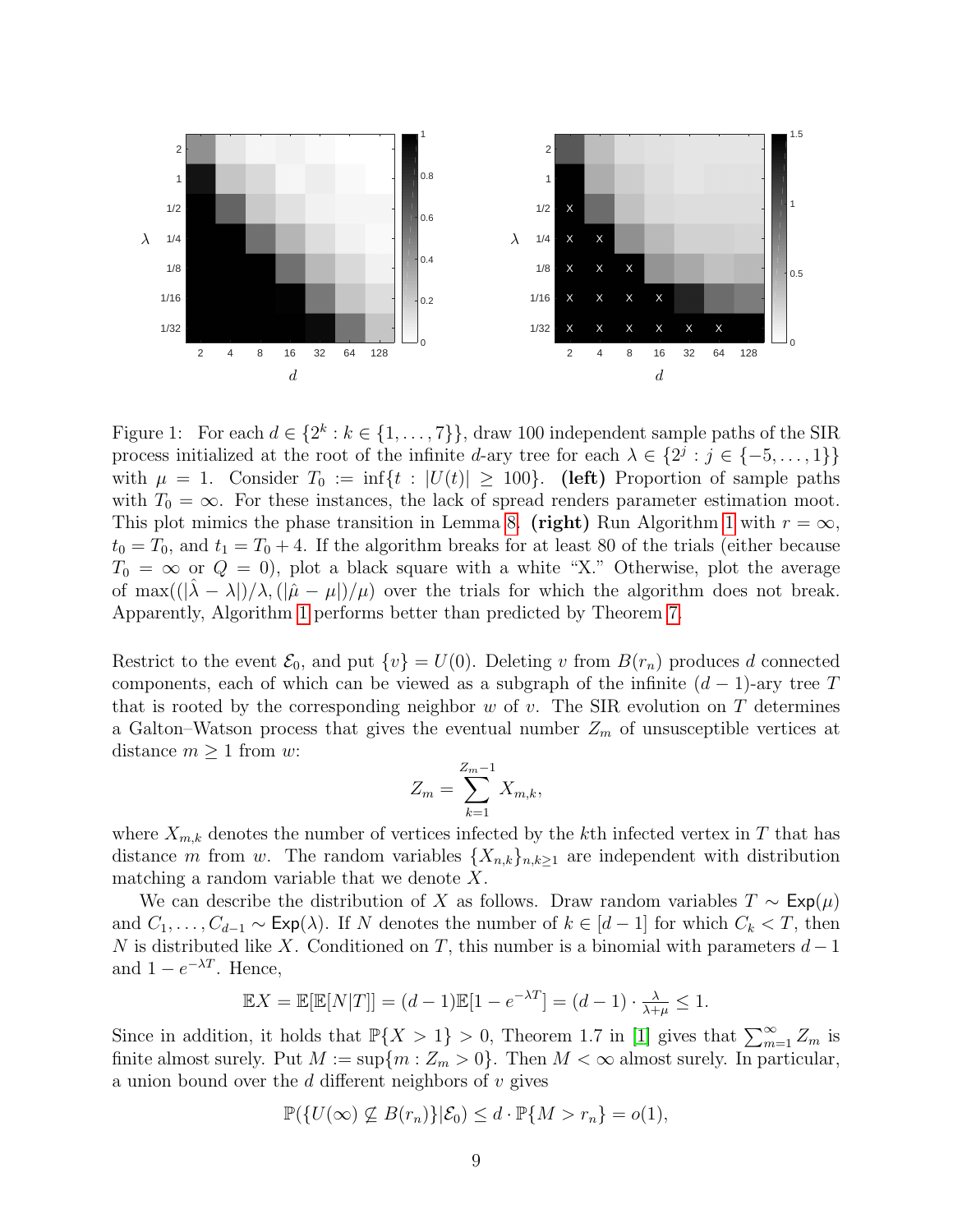

<span id="page-8-0"></span>Figure 1: For each  $d \in \{2^k : k \in \{1, \ldots, 7\}\}\$ , draw 100 independent sample paths of the SIR process initialized at the root of the infinite d-ary tree for each  $\lambda \in \{2^j : j \in \{-5, \ldots, 1\}\}\$ with  $\mu = 1$ . Consider  $T_0 := \inf\{t : |U(t)| \geq 100\}$ . (left) Proportion of sample paths with  $T_0 = \infty$ . For these instances, the lack of spread renders parameter estimation moot. This plot mimics the phase transition in Lemma [8.](#page-7-1) (right) Run Algorithm [1](#page-6-0) with  $r = \infty$ ,  $t_0 = T_0$ , and  $t_1 = T_0 + 4$ . If the algorithm breaks for at least 80 of the trials (either because  $T_0 = \infty$  or  $Q = 0$ ), plot a black square with a white "X." Otherwise, plot the average of max $((|\lambda - \lambda|)/\lambda, (|\hat{\mu} - \mu|)/\mu)$  over the trials for which the algorithm does not break. Apparently, Algorithm [1](#page-6-0) performs better than predicted by Theorem [7.](#page-7-2)

Restrict to the event  $\mathcal{E}_0$ , and put  $\{v\} = U(0)$ . Deleting v from  $B(r_n)$  produces d connected components, each of which can be viewed as a subgraph of the infinite  $(d-1)$ -ary tree T that is rooted by the corresponding neighbor  $w$  of  $v$ . The SIR evolution on  $T$  determines a Galton–Watson process that gives the eventual number  $Z_m$  of unsusceptible vertices at distance  $m \geq 1$  from w:

$$
Z_m = \sum_{k=1}^{Z_m - 1} X_{m,k},
$$

where  $X_{m,k}$  denotes the number of vertices infected by the kth infected vertex in T that has distance m from w. The random variables  $\{X_{n,k}\}_{n,k\geq 1}$  are independent with distribution matching a random variable that we denote  $X$ .

We can describe the distribution of X as follows. Draw random variables  $T \sim \text{Exp}(\mu)$ and  $C_1, \ldots, C_{d-1} \sim \text{Exp}(\lambda)$ . If N denotes the number of  $k \in [d-1]$  for which  $C_k < T$ , then N is distributed like X. Conditioned on T, this number is a binomial with parameters  $d-1$ and  $1 - e^{-\lambda T}$ . Hence,

$$
\mathbb{E}X = \mathbb{E}[\mathbb{E}[N|T]] = (d-1)\mathbb{E}[1 - e^{-\lambda T}] = (d-1) \cdot \frac{\lambda}{\lambda + \mu} \le 1.
$$

Since in addition, it holds that  $\mathbb{P}\{X > 1\} > 0$ , Theorem 1.7 in [\[1\]](#page-16-5) gives that  $\sum_{m=1}^{\infty} Z_m$  is finite almost surely. Put  $M := \sup\{m : Z_m > 0\}$ . Then  $M < \infty$  almost surely. In particular, a union bound over the  $d$  different neighbors of  $v$  gives

$$
\mathbb{P}(\{U(\infty) \not\subseteq B(r_n)\}|\mathcal{E}_0) \le d \cdot \mathbb{P}\{M > r_n\} = o(1),
$$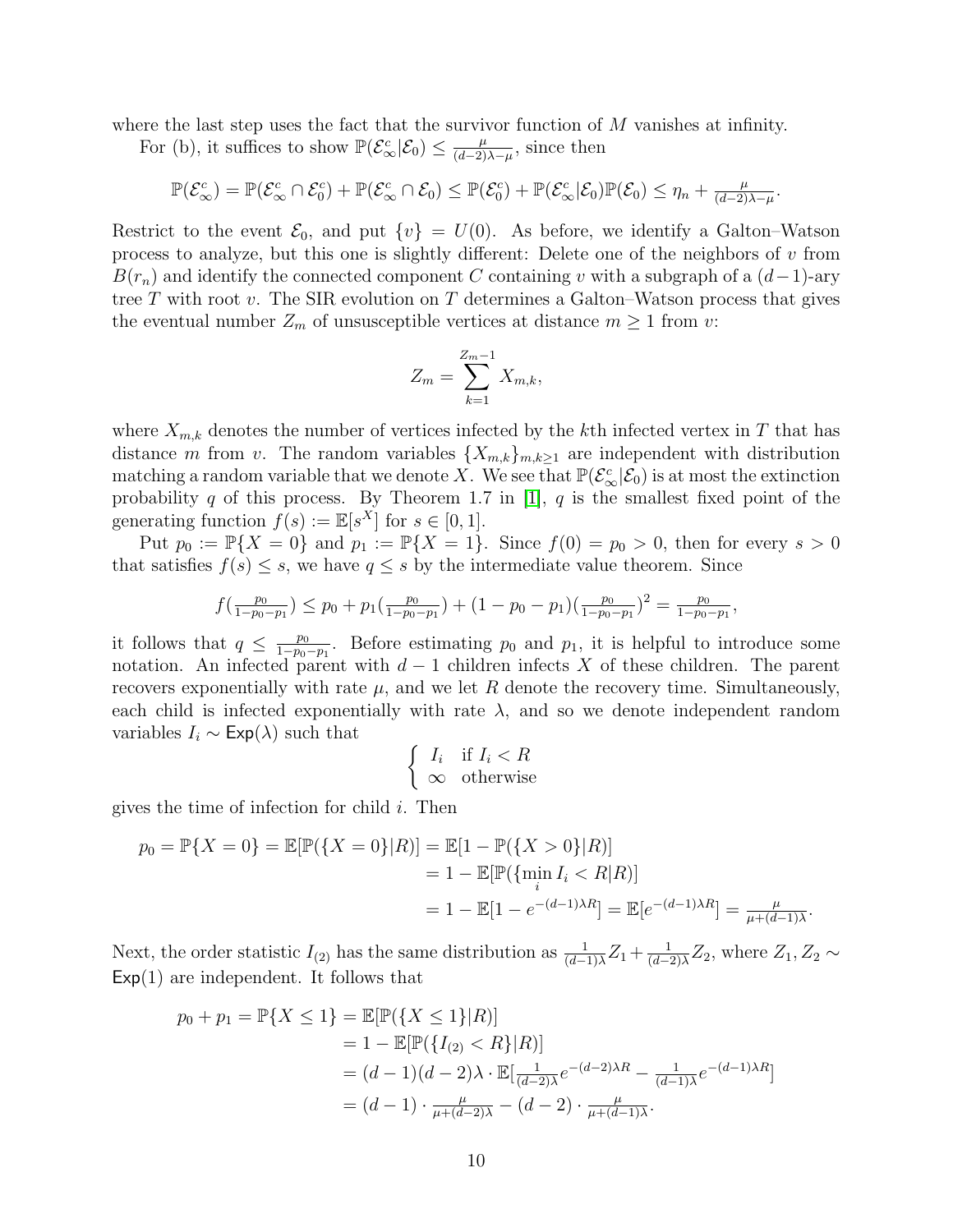where the last step uses the fact that the survivor function of  $M$  vanishes at infinity.

For (b), it suffices to show  $\mathbb{P}(\mathcal{E}_{\infty}^c|\mathcal{E}_0) \leq \frac{\mu}{(d-2)}$  $\frac{\mu}{(d-2)\lambda-\mu}$ , since then

 $\mathbb{P}(\mathcal{E}_{\infty}^c) = \mathbb{P}(\mathcal{E}_{\infty}^c \cap \mathcal{E}_0^c) + \mathbb{P}(\mathcal{E}_{\infty}^c \cap \mathcal{E}_0) \leq \mathbb{P}(\mathcal{E}_0^c) + \mathbb{P}(\mathcal{E}_{\infty}^c | \mathcal{E}_0) \mathbb{P}(\mathcal{E}_0) \leq \eta_n + \frac{\mu}{(d-2)}$  $\frac{\mu}{(d-2)\lambda-\mu}$ .

Restrict to the event  $\mathcal{E}_0$ , and put  $\{v\} = U(0)$ . As before, we identify a Galton–Watson process to analyze, but this one is slightly different: Delete one of the neighbors of  $v$  from  $B(r_n)$  and identify the connected component C containing v with a subgraph of a  $(d-1)$ -ary tree  $T$  with root  $v$ . The SIR evolution on  $T$  determines a Galton–Watson process that gives the eventual number  $Z_m$  of unsusceptible vertices at distance  $m \geq 1$  from v:

$$
Z_m = \sum_{k=1}^{Z_m - 1} X_{m,k},
$$

where  $X_{m,k}$  denotes the number of vertices infected by the kth infected vertex in T that has distance m from v. The random variables  $\{X_{m,k}\}_{m,k\geq 1}$  are independent with distribution matching a random variable that we denote X. We see that  $\mathbb{P}(\mathcal{E}^c_\infty|\mathcal{E}_0)$  is at most the extinction probability q of this process. By Theorem 1.7 in [\[1\]](#page-16-5), q is the smallest fixed point of the generating function  $f(s) := \mathbb{E}[s^X]$  for  $s \in [0,1]$ .

Put  $p_0 := \mathbb{P}{X = 0}$  and  $p_1 := \mathbb{P}{X = 1}$ . Since  $f(0) = p_0 > 0$ , then for every  $s > 0$ that satisfies  $f(s) \leq s$ , we have  $q \leq s$  by the intermediate value theorem. Since

$$
f\left(\frac{p_0}{1-p_0-p_1}\right) \le p_0 + p_1\left(\frac{p_0}{1-p_0-p_1}\right) + (1-p_0-p_1)\left(\frac{p_0}{1-p_0-p_1}\right)^2 = \frac{p_0}{1-p_0-p_1},
$$

it follows that  $q \leq \frac{p_0}{1-p_0}$  $\frac{p_0}{1-p_0-p_1}$ . Before estimating  $p_0$  and  $p_1$ , it is helpful to introduce some notation. An infected parent with  $d-1$  children infects X of these children. The parent recovers exponentially with rate  $\mu$ , and we let R denote the recovery time. Simultaneously, each child is infected exponentially with rate  $\lambda$ , and so we denote independent random variables  $I_i \sim \text{Exp}(\lambda)$  such that

$$
\begin{cases} I_i & \text{if } I_i < R \\ \infty & \text{otherwise} \end{cases}
$$

gives the time of infection for child  $i$ . Then

$$
p_0 = \mathbb{P}\{X = 0\} = \mathbb{E}[\mathbb{P}(\{X = 0\}|R)] = \mathbb{E}[1 - \mathbb{P}(\{X > 0\}|R)]
$$
  
= 1 - \mathbb{E}[\mathbb{P}(\{\min\_{i} I\_i < R|R\})]  
= 1 - \mathbb{E}[1 - e^{-(d-1)\lambda R}] = \mathbb{E}[e^{-(d-1)\lambda R}] = \frac{\mu}{\mu + (d-1)\lambda}

Next, the order statistic  $I_{(2)}$  has the same distribution as  $\frac{1}{(d-1)\lambda}Z_1+\frac{1}{(d-1)\lambda}Z_2$  $\frac{1}{(d-2)\lambda}Z_2$ , where  $Z_1, Z_2 \sim$  $Exp(1)$  are independent. It follows that

$$
p_0 + p_1 = \mathbb{P}\{X \le 1\} = \mathbb{E}[\mathbb{P}(\{X \le 1\}|R)]
$$
  
= 1 - \mathbb{E}[\mathbb{P}(\{I\_{(2)} < R\}|R)]  
= (d-1)(d-2)\lambda \cdot \mathbb{E}[\frac{1}{(d-2)\lambda}e^{-(d-2)\lambda R} - \frac{1}{(d-1)\lambda}e^{-(d-1)\lambda R}]  
= (d-1) \cdot \frac{\mu}{\mu + (d-2)\lambda} - (d-2) \cdot \frac{\mu}{\mu + (d-1)\lambda}.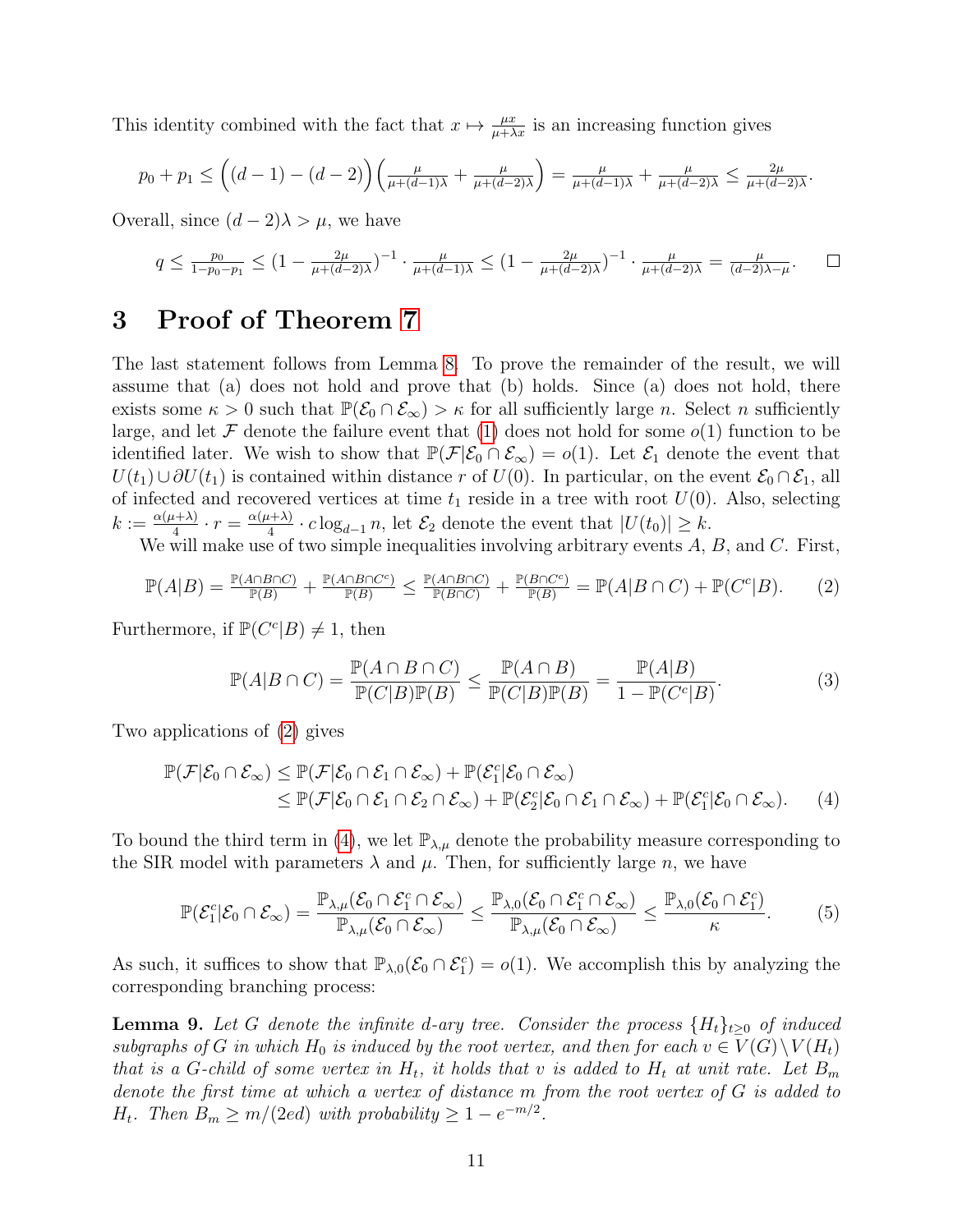This identity combined with the fact that  $x \mapsto \frac{\mu x}{\mu + \lambda x}$  is an increasing function gives

$$
p_0 + p_1 \le \left( (d-1) - (d-2) \right) \left( \frac{\mu}{\mu + (d-1)\lambda} + \frac{\mu}{\mu + (d-2)\lambda} \right) = \frac{\mu}{\mu + (d-1)\lambda} + \frac{\mu}{\mu + (d-2)\lambda} \le \frac{2\mu}{\mu + (d-2)\lambda}.
$$

Overall, since  $(d-2)\lambda > \mu$ , we have

$$
q \le \frac{p_0}{1 - p_0 - p_1} \le (1 - \frac{2\mu}{\mu + (d-2)\lambda})^{-1} \cdot \frac{\mu}{\mu + (d-1)\lambda} \le (1 - \frac{2\mu}{\mu + (d-2)\lambda})^{-1} \cdot \frac{\mu}{\mu + (d-2)\lambda} = \frac{\mu}{(d-2)\lambda - \mu}.
$$

#### 3 Proof of Theorem [7](#page-7-2)

The last statement follows from Lemma [8.](#page-7-1) To prove the remainder of the result, we will assume that (a) does not hold and prove that (b) holds. Since (a) does not hold, there exists some  $\kappa > 0$  such that  $\mathbb{P}(\mathcal{E}_0 \cap \mathcal{E}_{\infty}) > \kappa$  for all sufficiently large n. Select n sufficiently large, and let F denote the failure event that [\(1\)](#page-7-0) does not hold for some  $o(1)$  function to be identified later. We wish to show that  $\mathbb{P}(\mathcal{F}|\mathcal{E}_0 \cap \mathcal{E}_{\infty}) = o(1)$ . Let  $\mathcal{E}_1$  denote the event that  $U(t_1) \cup \partial U(t_1)$  is contained within distance r of  $U(0)$ . In particular, on the event  $\mathcal{E}_0 \cap \mathcal{E}_1$ , all of infected and recovered vertices at time  $t_1$  reside in a tree with root  $U(0)$ . Also, selecting  $k:=\frac{\alpha(\mu+\lambda)}{4}$  $\frac{\alpha+ \lambda)}{4} \cdot r = \frac{\alpha(\mu + \lambda)}{4}$  $\frac{d(x+h)}{4} \cdot c \log_{d-1} n$ , let  $\mathcal{E}_2$  denote the event that  $|U(t_0)| \geq k$ .

We will make use of two simple inequalities involving arbitrary events  $A, B$ , and  $C$ . First,

<span id="page-10-0"></span>
$$
\mathbb{P}(A|B) = \frac{\mathbb{P}(A \cap B \cap C)}{\mathbb{P}(B)} + \frac{\mathbb{P}(A \cap B \cap C^c)}{\mathbb{P}(B)} \le \frac{\mathbb{P}(A \cap B \cap C)}{\mathbb{P}(B \cap C)} + \frac{\mathbb{P}(B \cap C^c)}{\mathbb{P}(B)} = \mathbb{P}(A|B \cap C) + \mathbb{P}(C^c|B). \tag{2}
$$

Furthermore, if  $\mathbb{P}(C^c|B) \neq 1$ , then

<span id="page-10-4"></span><span id="page-10-1"></span>
$$
\mathbb{P}(A|B \cap C) = \frac{\mathbb{P}(A \cap B \cap C)}{\mathbb{P}(C|B)\mathbb{P}(B)} \le \frac{\mathbb{P}(A \cap B)}{\mathbb{P}(C|B)\mathbb{P}(B)} = \frac{\mathbb{P}(A|B)}{1 - \mathbb{P}(C^c|B)}.
$$
\n(3)

Two applications of [\(2\)](#page-10-0) gives

$$
\mathbb{P}(\mathcal{F}|\mathcal{E}_0 \cap \mathcal{E}_{\infty}) \leq \mathbb{P}(\mathcal{F}|\mathcal{E}_0 \cap \mathcal{E}_1 \cap \mathcal{E}_{\infty}) + \mathbb{P}(\mathcal{E}_1^c|\mathcal{E}_0 \cap \mathcal{E}_{\infty}) \leq \mathbb{P}(\mathcal{F}|\mathcal{E}_0 \cap \mathcal{E}_1 \cap \mathcal{E}_2 \cap \mathcal{E}_{\infty}) + \mathbb{P}(\mathcal{E}_2^c|\mathcal{E}_0 \cap \mathcal{E}_1 \cap \mathcal{E}_{\infty}) + \mathbb{P}(\mathcal{E}_1^c|\mathcal{E}_0 \cap \mathcal{E}_{\infty}).
$$
 (4)

To bound the third term in [\(4\)](#page-10-1), we let  $\mathbb{P}_{\lambda,\mu}$  denote the probability measure corresponding to the SIR model with parameters  $\lambda$  and  $\mu$ . Then, for sufficiently large n, we have

<span id="page-10-3"></span>
$$
\mathbb{P}(\mathcal{E}_1^c|\mathcal{E}_0 \cap \mathcal{E}_{\infty}) = \frac{\mathbb{P}_{\lambda,\mu}(\mathcal{E}_0 \cap \mathcal{E}_1^c \cap \mathcal{E}_{\infty})}{\mathbb{P}_{\lambda,\mu}(\mathcal{E}_0 \cap \mathcal{E}_{\infty})} \leq \frac{\mathbb{P}_{\lambda,0}(\mathcal{E}_0 \cap \mathcal{E}_1^c \cap \mathcal{E}_{\infty})}{\mathbb{P}_{\lambda,\mu}(\mathcal{E}_0 \cap \mathcal{E}_{\infty})} \leq \frac{\mathbb{P}_{\lambda,0}(\mathcal{E}_0 \cap \mathcal{E}_1^c)}{\kappa}.
$$
 (5)

As such, it suffices to show that  $\mathbb{P}_{\lambda,0}(\mathcal{E}_0 \cap \mathcal{E}_1^c) = o(1)$ . We accomplish this by analyzing the corresponding branching process:

<span id="page-10-2"></span>**Lemma 9.** Let G denote the infinite d-ary tree. Consider the process  $\{H_t\}_{t\geq0}$  of induced subgraphs of G in which  $H_0$  is induced by the root vertex, and then for each  $v \in V(G) \setminus V(H_t)$ that is a G-child of some vertex in  $H_t$ , it holds that v is added to  $H_t$  at unit rate. Let  $B_m$ denote the first time at which a vertex of distance m from the root vertex of G is added to  $H_t$ . Then  $B_m \geq m/(2ed)$  with probability  $\geq 1 - e^{-m/2}$ .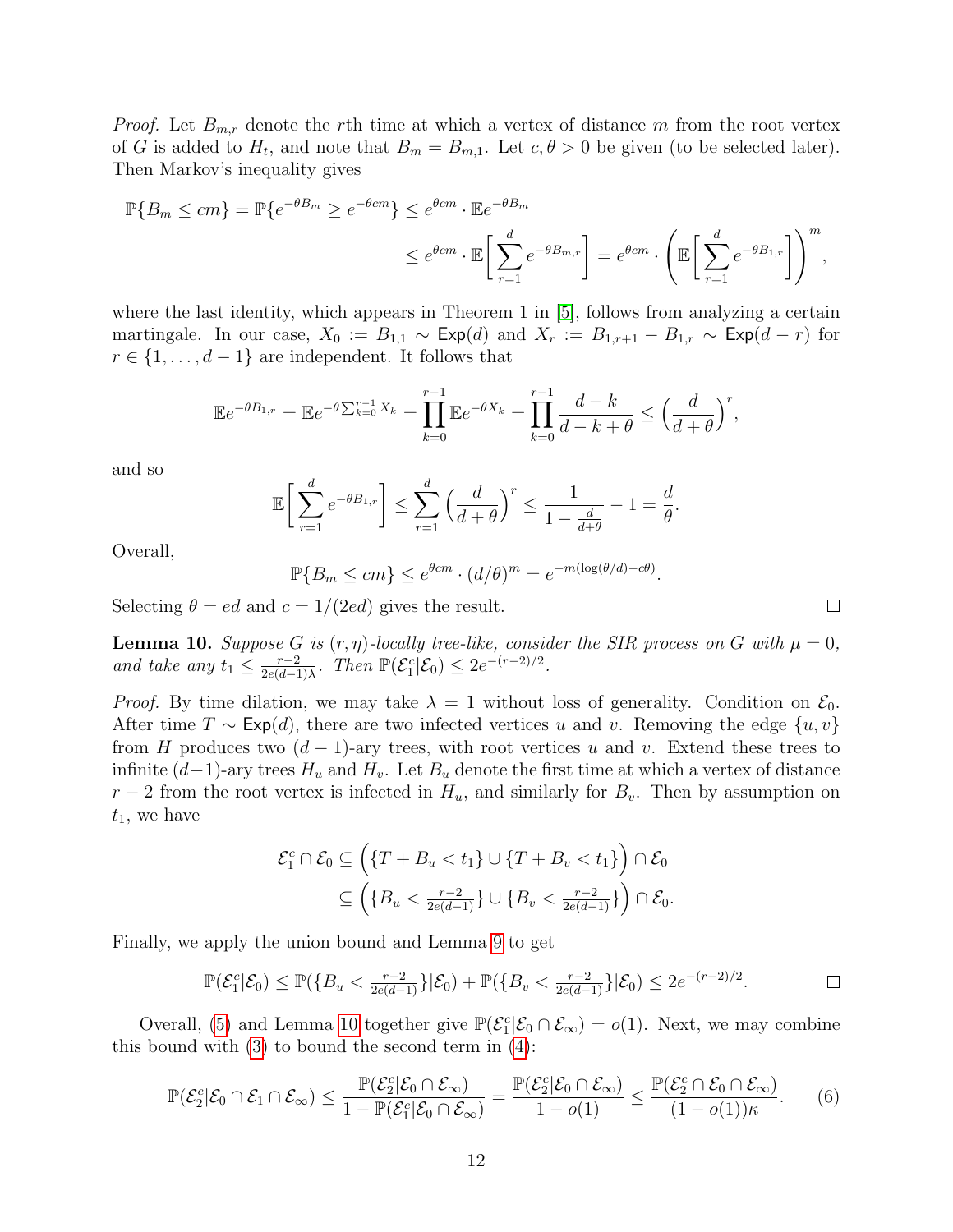*Proof.* Let  $B_{m,r}$  denote the rth time at which a vertex of distance m from the root vertex of G is added to  $H_t$ , and note that  $B_m = B_{m,1}$ . Let  $c, \theta > 0$  be given (to be selected later). Then Markov's inequality gives

$$
\mathbb{P}\{B_m \le cm\} = \mathbb{P}\{e^{-\theta B_m} \ge e^{-\theta cm}\} \le e^{\theta cm} \cdot \mathbb{E}e^{-\theta B_m}
$$

$$
\le e^{\theta cm} \cdot \mathbb{E}\left[\sum_{r=1}^d e^{-\theta B_{m,r}}\right] = e^{\theta cm} \cdot \left(\mathbb{E}\left[\sum_{r=1}^d e^{-\theta B_{1,r}}\right]\right)^m,
$$

where the last identity, which appears in Theorem 1 in [\[5\]](#page-16-2), follows from analyzing a certain martingale. In our case,  $X_0 := B_{1,1} \sim \text{Exp}(d)$  and  $X_r := B_{1,r+1} - B_{1,r} \sim \text{Exp}(d-r)$  for  $r \in \{1, \ldots, d-1\}$  are independent. It follows that

$$
\mathbb{E}e^{-\theta B_{1,r}} = \mathbb{E}e^{-\theta \sum_{k=0}^{r-1} X_k} = \prod_{k=0}^{r-1} \mathbb{E}e^{-\theta X_k} = \prod_{k=0}^{r-1} \frac{d-k}{d-k+\theta} \le \left(\frac{d}{d+\theta}\right)^r,
$$

and so

$$
\mathbb{E}\bigg[\sum_{r=1}^d e^{-\theta B_{1,r}}\bigg] \le \sum_{r=1}^d \left(\frac{d}{d+\theta}\right)^r \le \frac{1}{1-\frac{d}{d+\theta}} - 1 = \frac{d}{\theta}.
$$

Overall,

$$
\mathbb{P}\{B_m \le cm\} \le e^{\theta cm} \cdot (d/\theta)^m = e^{-m(\log(\theta/d) - c\theta)}.
$$

Selecting  $\theta = ed$  and  $c = 1/(2ed)$  gives the result.

<span id="page-11-0"></span>**Lemma 10.** Suppose G is  $(r, \eta)$ -locally tree-like, consider the SIR process on G with  $\mu = 0$ , and take any  $t_1 \leq \frac{r-2}{2e(d-1)}$  $\frac{r-2}{2e(d-1)\lambda}$ . Then  $\mathbb{P}(\mathcal{E}_1^c|\mathcal{E}_0) \leq 2e^{-(r-2)/2}$ .

*Proof.* By time dilation, we may take  $\lambda = 1$  without loss of generality. Condition on  $\mathcal{E}_0$ . After time  $T \sim \text{Exp}(d)$ , there are two infected vertices u and v. Removing the edge  $\{u, v\}$ from H produces two  $(d-1)$ -ary trees, with root vertices u and v. Extend these trees to infinite  $(d-1)$ -ary trees  $H_u$  and  $H_v$ . Let  $B_u$  denote the first time at which a vertex of distance  $r-2$  from the root vertex is infected in  $H_u$ , and similarly for  $B_v$ . Then by assumption on  $t_1$ , we have

$$
\mathcal{E}_1^c \cap \mathcal{E}_0 \subseteq \left( \{ T + B_u < t_1 \} \cup \{ T + B_v < t_1 \} \right) \cap \mathcal{E}_0
$$
\n
$$
\subseteq \left( \{ B_u < \frac{r-2}{2e(d-1)} \} \cup \{ B_v < \frac{r-2}{2e(d-1)} \} \right) \cap \mathcal{E}_0.
$$

Finally, we apply the union bound and Lemma [9](#page-10-2) to get

$$
\mathbb{P}(\mathcal{E}_1^c|\mathcal{E}_0) \le \mathbb{P}(\{B_u < \frac{r-2}{2e(d-1)}\}|\mathcal{E}_0) + \mathbb{P}(\{B_v < \frac{r-2}{2e(d-1)}\}|\mathcal{E}_0) \le 2e^{-(r-2)/2}.\tag{}
$$

Overall, [\(5\)](#page-10-3) and Lemma [10](#page-11-0) together give  $\mathbb{P}(\mathcal{E}_1^c|\mathcal{E}_0 \cap \mathcal{E}_{\infty}) = o(1)$ . Next, we may combine this bound with  $(3)$  to bound the second term in  $(4)$ :

$$
\mathbb{P}(\mathcal{E}_2^c|\mathcal{E}_0 \cap \mathcal{E}_1 \cap \mathcal{E}_{\infty}) \leq \frac{\mathbb{P}(\mathcal{E}_2^c|\mathcal{E}_0 \cap \mathcal{E}_{\infty})}{1 - \mathbb{P}(\mathcal{E}_1^c|\mathcal{E}_0 \cap \mathcal{E}_{\infty})} = \frac{\mathbb{P}(\mathcal{E}_2^c|\mathcal{E}_0 \cap \mathcal{E}_{\infty})}{1 - o(1)} \leq \frac{\mathbb{P}(\mathcal{E}_2^c \cap \mathcal{E}_0 \cap \mathcal{E}_{\infty})}{(1 - o(1))\kappa}.
$$
 (6)

<span id="page-11-1"></span> $\Box$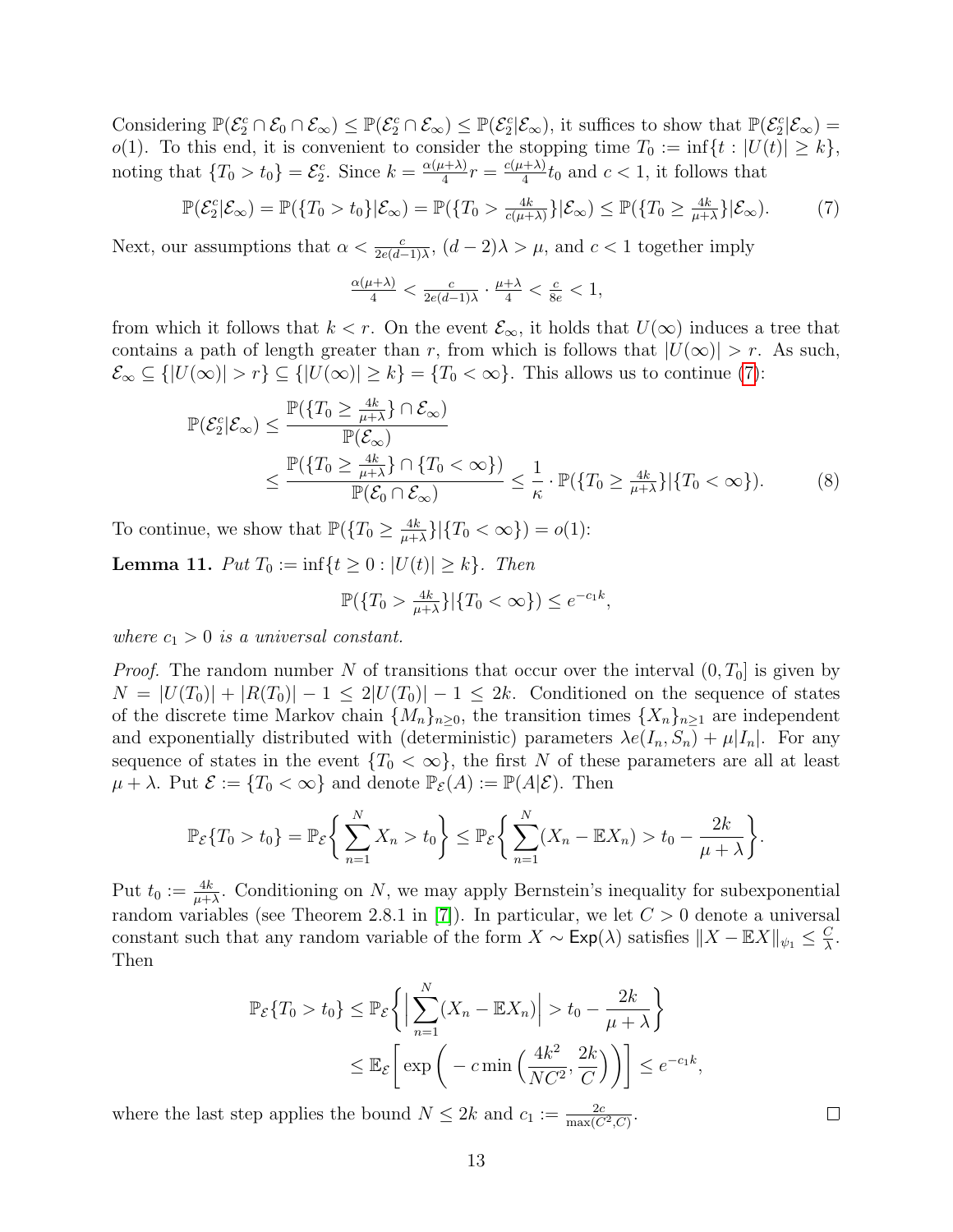Considering  $\mathbb{P}(\mathcal{E}_2^c \cap \mathcal{E}_\infty) \leq \mathbb{P}(\mathcal{E}_2^c \cap \mathcal{E}_\infty) \leq \mathbb{P}(\mathcal{E}_2^c | \mathcal{E}_\infty)$ , it suffices to show that  $\mathbb{P}(\mathcal{E}_2^c | \mathcal{E}_\infty) =$ o(1). To this end, it is convenient to consider the stopping time  $T_0 := \inf\{t : |U(t)| \geq k\},\$ noting that  $\{T_0 > t_0\} = \mathcal{E}_2^c$ . Since  $k = \frac{\alpha(\mu + \lambda)}{4}$  $\frac{a+\lambda)}{4}r=\frac{c(\mu+\lambda)}{4}$  $\frac{d+2}{4}t_0$  and  $c < 1$ , it follows that

<span id="page-12-0"></span>
$$
\mathbb{P}(\mathcal{E}_2^c|\mathcal{E}_{\infty}) = \mathbb{P}(\{T_0 > t_0\}|\mathcal{E}_{\infty}) = \mathbb{P}(\{T_0 > \frac{4k}{c(\mu+\lambda)}\}|\mathcal{E}_{\infty}) \le \mathbb{P}(\{T_0 \ge \frac{4k}{\mu+\lambda}\}|\mathcal{E}_{\infty}).
$$
 (7)

Next, our assumptions that  $\alpha < \frac{c}{2e(d-1)\lambda}$ ,  $(d-2)\lambda > \mu$ , and  $c < 1$  together imply

$$
\tfrac{\alpha(\mu+\lambda)}{4}<\tfrac{c}{2e(d-1)\lambda}\cdot\tfrac{\mu+\lambda}{4}<\tfrac{c}{8e}<1,
$$

from which it follows that  $k < r$ . On the event  $\mathcal{E}_{\infty}$ , it holds that  $U(\infty)$  induces a tree that contains a path of length greater than r, from which is follows that  $|U(\infty)| > r$ . As such,  $\mathcal{E}_{\infty} \subseteq \{|U(\infty)| > r\} \subseteq \{|U(\infty)| \geq k\} = \{T_0 < \infty\}.$  This allows us to continue [\(7\)](#page-12-0):

$$
\mathbb{P}(\mathcal{E}_2^c|\mathcal{E}_{\infty}) \le \frac{\mathbb{P}(\{T_0 \ge \frac{4k}{\mu+\lambda}\} \cap \mathcal{E}_{\infty})}{\mathbb{P}(\mathcal{E}_{\infty})} \le \frac{\mathbb{P}(\{T_0 \ge \frac{4k}{\mu+\lambda}\} \cap \{T_0 < \infty\})}{\mathbb{P}(\mathcal{E}_0 \cap \mathcal{E}_{\infty})} \le \frac{1}{\kappa} \cdot \mathbb{P}(\{T_0 \ge \frac{4k}{\mu+\lambda}\} |\{T_0 < \infty\}).\tag{8}
$$

To continue, we show that  $\mathbb{P}(\lbrace T_0 \geq \frac{4k}{n+1} \rbrace)$  $\frac{4k}{\mu+\lambda}\}|\{T_0 < \infty\}) = o(1)$ :

<span id="page-12-2"></span>**Lemma 11.** Put  $T_0 := \inf\{t \geq 0 : |U(t)| \geq k\}$ . Then

<span id="page-12-1"></span>
$$
\mathbb{P}(\lbrace T_0 > \frac{4k}{\mu + \lambda} \rbrace | \lbrace T_0 < \infty \rbrace) \le e^{-c_1 k},
$$

where  $c_1 > 0$  is a universal constant.

*Proof.* The random number N of transitions that occur over the interval  $(0, T_0]$  is given by  $N = |U(T_0)| + |R(T_0)| - 1 \leq 2|U(T_0)| - 1 \leq 2k$ . Conditioned on the sequence of states of the discrete time Markov chain  $\{M_n\}_{n\geq 0}$ , the transition times  $\{X_n\}_{n\geq 1}$  are independent and exponentially distributed with (deterministic) parameters  $\lambda e(I_n, S_n) + \mu |I_n|$ . For any sequence of states in the event  ${T_0 < \infty}$ , the first N of these parameters are all at least  $\mu + \lambda$ . Put  $\mathcal{E} := \{T_0 < \infty\}$  and denote  $\mathbb{P}_{\mathcal{E}}(A) := \mathbb{P}(A|\mathcal{E})$ . Then

$$
\mathbb{P}_{\mathcal{E}}\{T_0 > t_0\} = \mathbb{P}_{\mathcal{E}}\bigg\{\sum_{n=1}^N X_n > t_0\bigg\} \le \mathbb{P}_{\mathcal{E}}\bigg\{\sum_{n=1}^N (X_n - \mathbb{E}X_n) > t_0 - \frac{2k}{\mu + \lambda}\bigg\}.
$$

Put  $t_0 := \frac{4k}{\mu + \lambda}$ . Conditioning on N, we may apply Bernstein's inequality for subexponential random variables (see Theorem 2.8.1 in [\[7\]](#page-16-3)). In particular, we let  $C > 0$  denote a universal constant such that any random variable of the form  $X \sim \text{Exp}(\lambda)$  satisfies  $||X - \mathbb{E}X||_{\psi_1} \leq \frac{C}{\lambda}$  $\frac{C}{\lambda}$ . Then

$$
\mathbb{P}_{\mathcal{E}}\{T_0 > t_0\} \le \mathbb{P}_{\mathcal{E}}\left\{ \left| \sum_{n=1}^N (X_n - \mathbb{E}X_n) \right| > t_0 - \frac{2k}{\mu + \lambda} \right\}
$$
  

$$
\le \mathbb{E}_{\mathcal{E}}\left[\exp\left(-c\min\left(\frac{4k^2}{NC^2}, \frac{2k}{C}\right)\right)\right] \le e^{-c_1k}
$$

,

 $\Box$ 

where the last step applies the bound  $N \leq 2k$  and  $c_1 := \frac{2c}{\max(C^2, C)}$ .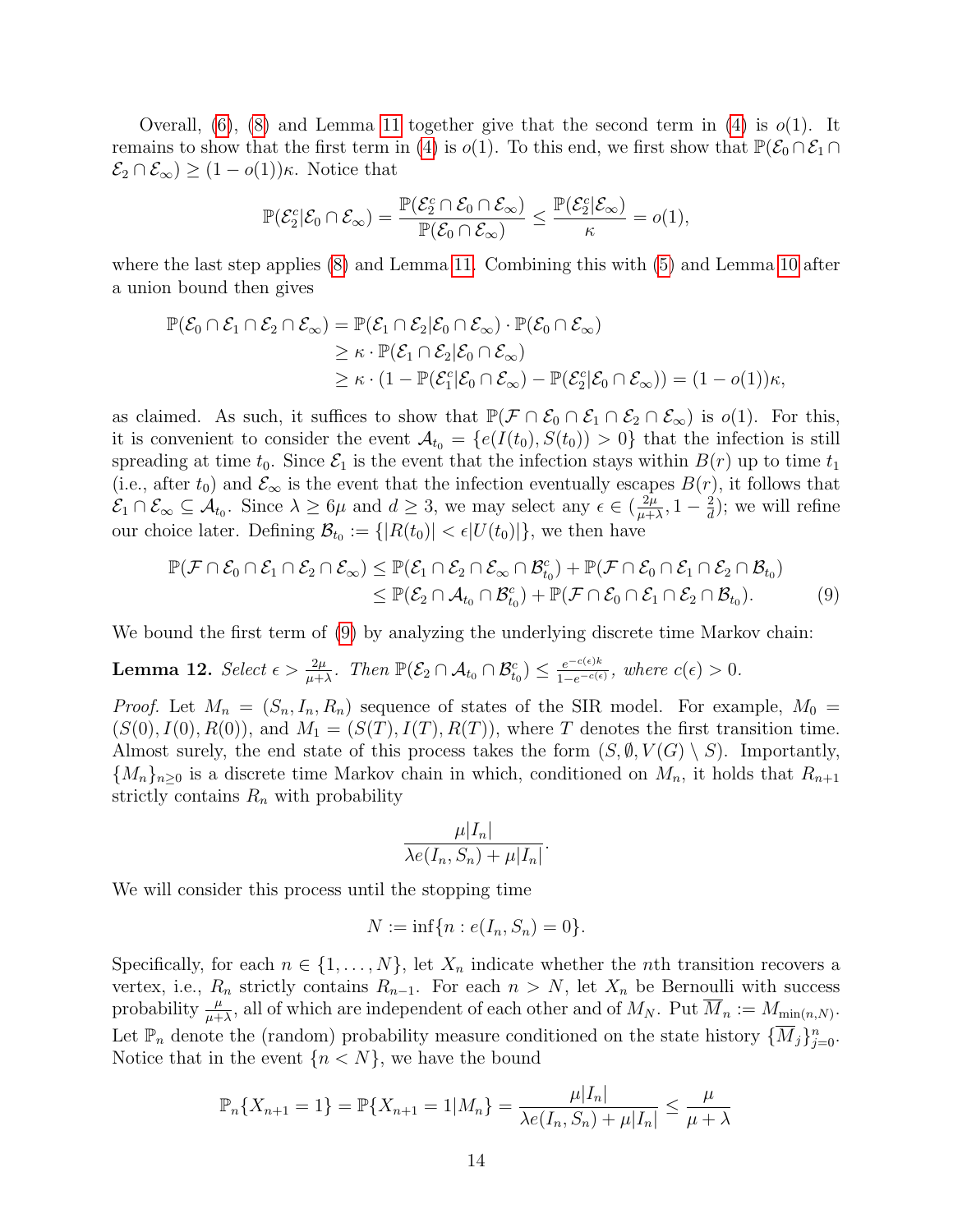Overall,  $(6)$ ,  $(8)$  and Lemma [11](#page-12-2) together give that the second term in  $(4)$  is  $o(1)$ . It remains to show that the first term in [\(4\)](#page-10-1) is  $o(1)$ . To this end, we first show that  $\mathbb{P}(\mathcal{E}_0 \cap \mathcal{E}_1 \cap$  $\mathcal{E}_2 \cap \mathcal{E}_{\infty}$ )  $\geq (1 - o(1))\kappa$ . Notice that

$$
\mathbb{P}(\mathcal{E}_2^c|\mathcal{E}_0 \cap \mathcal{E}_{\infty}) = \frac{\mathbb{P}(\mathcal{E}_2^c \cap \mathcal{E}_0 \cap \mathcal{E}_{\infty})}{\mathbb{P}(\mathcal{E}_0 \cap \mathcal{E}_{\infty})} \le \frac{\mathbb{P}(\mathcal{E}_2^c|\mathcal{E}_{\infty})}{\kappa} = o(1),
$$

where the last step applies [\(8\)](#page-12-1) and Lemma [11.](#page-12-2) Combining this with [\(5\)](#page-10-3) and Lemma [10](#page-11-0) after a union bound then gives

$$
\mathbb{P}(\mathcal{E}_0 \cap \mathcal{E}_1 \cap \mathcal{E}_2 \cap \mathcal{E}_{\infty}) = \mathbb{P}(\mathcal{E}_1 \cap \mathcal{E}_2 | \mathcal{E}_0 \cap \mathcal{E}_{\infty}) \cdot \mathbb{P}(\mathcal{E}_0 \cap \mathcal{E}_{\infty})
$$
  
\n
$$
\geq \kappa \cdot \mathbb{P}(\mathcal{E}_1 \cap \mathcal{E}_2 | \mathcal{E}_0 \cap \mathcal{E}_{\infty})
$$
  
\n
$$
\geq \kappa \cdot (1 - \mathbb{P}(\mathcal{E}_1^c | \mathcal{E}_0 \cap \mathcal{E}_{\infty}) - \mathbb{P}(\mathcal{E}_2^c | \mathcal{E}_0 \cap \mathcal{E}_{\infty})) = (1 - o(1))\kappa,
$$

as claimed. As such, it suffices to show that  $\mathbb{P}(\mathcal{F} \cap \mathcal{E}_0 \cap \mathcal{E}_1 \cap \mathcal{E}_2 \cap \mathcal{E}_{\infty})$  is  $o(1)$ . For this, it is convenient to consider the event  $\mathcal{A}_{t_0} = \{e(I(t_0), S(t_0)) > 0\}$  that the infection is still spreading at time  $t_0$ . Since  $\mathcal{E}_1$  is the event that the infection stays within  $B(r)$  up to time  $t_1$ (i.e., after  $t_0$ ) and  $\mathcal{E}_{\infty}$  is the event that the infection eventually escapes  $B(r)$ , it follows that  $\mathcal{E}_1 \cap \mathcal{E}_{\infty} \subseteq \mathcal{A}_{t_0}$ . Since  $\lambda \geq 6\mu$  and  $d \geq 3$ , we may select any  $\epsilon \in (\frac{2\mu}{\mu + 1})$  $\frac{2\mu}{\mu+\lambda}, 1-\frac{2}{d}$  $\frac{2}{d}$ ); we will refine our choice later. Defining  $\mathcal{B}_{t_0} := \{ |R(t_0)| < \epsilon |U(t_0)| \}$ , we then have

$$
\mathbb{P}(\mathcal{F}\cap\mathcal{E}_0\cap\mathcal{E}_1\cap\mathcal{E}_2\cap\mathcal{E}_{\infty})\leq \mathbb{P}(\mathcal{E}_1\cap\mathcal{E}_2\cap\mathcal{E}_{\infty}\cap\mathcal{B}_{t_0}^c)+\mathbb{P}(\mathcal{F}\cap\mathcal{E}_0\cap\mathcal{E}_1\cap\mathcal{E}_2\cap\mathcal{B}_{t_0})\\ \leq \mathbb{P}(\mathcal{E}_2\cap\mathcal{A}_{t_0}\cap\mathcal{B}_{t_0}^c)+\mathbb{P}(\mathcal{F}\cap\mathcal{E}_0\cap\mathcal{E}_1\cap\mathcal{E}_2\cap\mathcal{B}_{t_0}).
$$
\n(9)

We bound the first term of [\(9\)](#page-13-0) by analyzing the underlying discrete time Markov chain:

<span id="page-13-1"></span>Lemma 12. Select  $\epsilon > \frac{2\mu}{\mu+\lambda}$ . Then  $\mathbb{P}(\mathcal{E}_2 \cap \mathcal{A}_{t_0} \cap \mathcal{B}_{t_0}^c) \leq \frac{e^{-c(\epsilon)k}}{1-e^{-c(\epsilon)}}$  $\frac{e^{-c(\epsilon)\kappa}}{1-e^{-c(\epsilon)}}$ , where  $c(\epsilon)>0$ .

*Proof.* Let  $M_n = (S_n, I_n, R_n)$  sequence of states of the SIR model. For example,  $M_0 =$  $(S(0), I(0), R(0)),$  and  $M_1 = (S(T), I(T), R(T)),$  where T denotes the first transition time. Almost surely, the end state of this process takes the form  $(S, \emptyset, V(G) \setminus S)$ . Importantly,  ${M_n}_{n\geq 0}$  is a discrete time Markov chain in which, conditioned on  $M_n$ , it holds that  $R_{n+1}$ strictly contains  $R_n$  with probability

<span id="page-13-0"></span>
$$
\frac{\mu|I_n|}{\lambda e(I_n, S_n) + \mu|I_n|}.
$$

We will consider this process until the stopping time

$$
N := \inf\{n : e(I_n, S_n) = 0\}.
$$

Specifically, for each  $n \in \{1, ..., N\}$ , let  $X_n$  indicate whether the *n*th transition recovers a vertex, i.e.,  $R_n$  strictly contains  $R_{n-1}$ . For each  $n > N$ , let  $X_n$  be Bernoulli with success probability  $\frac{\mu}{\mu+\lambda}$ , all of which are independent of each other and of  $M_N$ . Put  $\overline{M}_n := M_{\min(n,N)}$ . Let  $\mathbb{P}_n$  denote the (random) probability measure conditioned on the state history  $\{\overline{M}_j\}_{j=0}^n$ . Notice that in the event  ${n < N}$ , we have the bound

$$
\mathbb{P}_n\{X_{n+1} = 1\} = \mathbb{P}\{X_{n+1} = 1 | M_n\} = \frac{\mu |I_n|}{\lambda e(I_n, S_n) + \mu |I_n|} \le \frac{\mu}{\mu + \lambda}
$$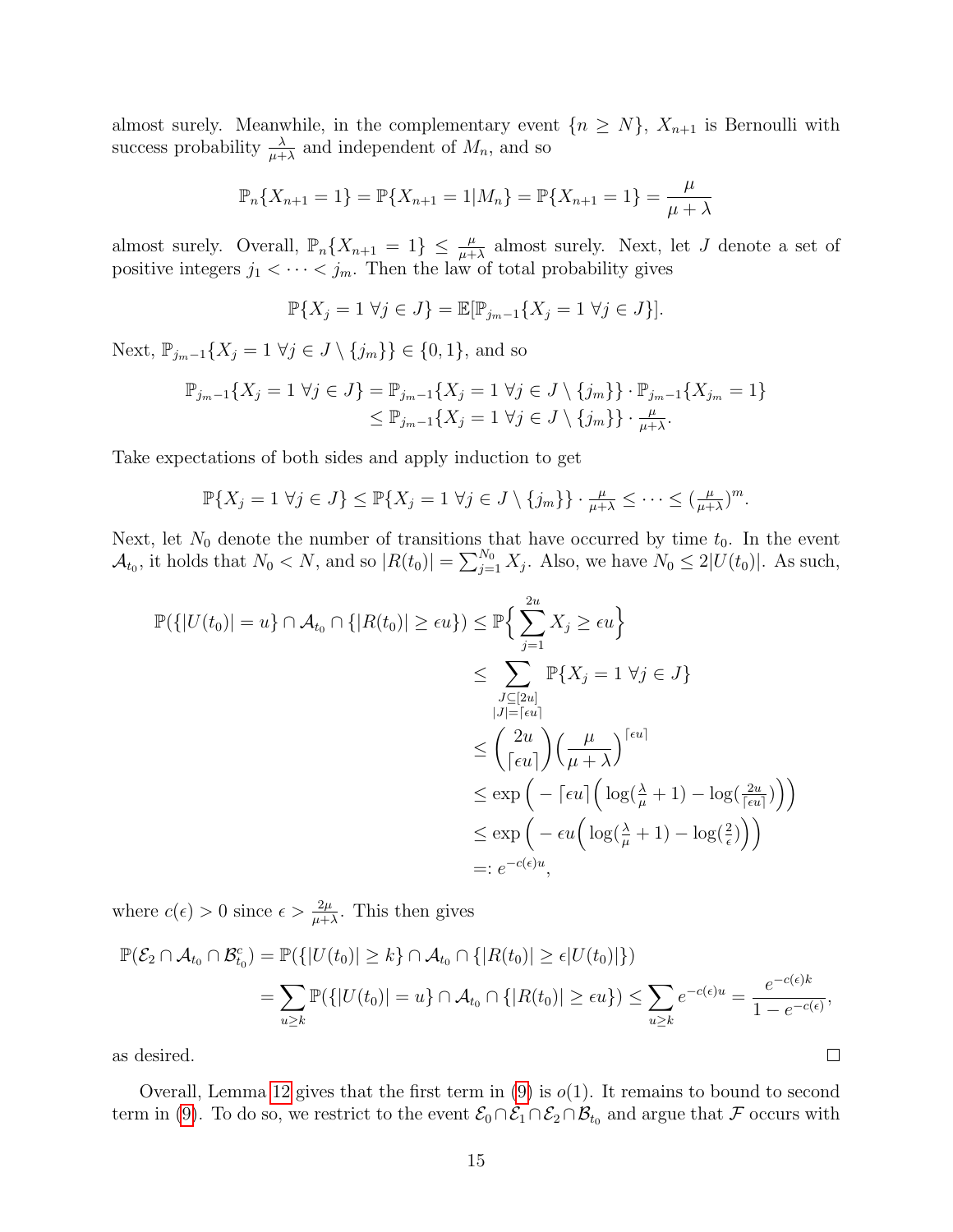almost surely. Meanwhile, in the complementary event  $\{n \geq N\}$ ,  $X_{n+1}$  is Bernoulli with success probability  $\frac{\lambda}{\mu+\lambda}$  and independent of  $M_n$ , and so

$$
\mathbb{P}_n\{X_{n+1} = 1\} = \mathbb{P}\{X_{n+1} = 1 | M_n\} = \mathbb{P}\{X_{n+1} = 1\} = \frac{\mu}{\mu + \lambda}
$$

almost surely. Overall,  $\mathbb{P}_n\{X_{n+1} = 1\} \leq \frac{\mu}{\mu+\lambda}$  almost surely. Next, let J denote a set of positive integers  $j_1 < \cdots < j_m$ . Then the law of total probability gives

$$
\mathbb{P}\{X_j=1\ \forall j\in J\}=\mathbb{E}[\mathbb{P}_{j_m-1}\{X_j=1\ \forall j\in J\}].
$$

Next,  $\mathbb{P}_{j_m-1}\{X_j=1 \; \forall j \in J \setminus \{j_m\}\}\in \{0,1\}$ , and so

$$
\mathbb{P}_{j_m-1}\{X_j=1\,\forall j\in J\}=\mathbb{P}_{j_m-1}\{X_j=1\,\forall j\in J\setminus\{j_m\}\}\cdot\mathbb{P}_{j_m-1}\{X_{j_m}=1\}
$$
  

$$
\leq\mathbb{P}_{j_m-1}\{X_j=1\,\forall j\in J\setminus\{j_m\}\}\cdot\frac{\mu}{\mu+\lambda}.
$$

Take expectations of both sides and apply induction to get

$$
\mathbb{P}\{X_j=1\ \forall j\in J\}\leq \mathbb{P}\{X_j=1\ \forall j\in J\setminus\{j_m\}\}\cdot \frac{\mu}{\mu+\lambda}\leq \cdots\leq (\frac{\mu}{\mu+\lambda})^m.
$$

Next, let  $N_0$  denote the number of transitions that have occurred by time  $t_0$ . In the event  $\mathcal{A}_{t_0}$ , it holds that  $N_0 < N$ , and so  $|R(t_0)| = \sum_{j=1}^{N_0} X_j$ . Also, we have  $N_0 \leq 2|U(t_0)|$ . As such,

$$
\mathbb{P}(\{|U(t_0)| = u\} \cap \mathcal{A}_{t_0} \cap \{|R(t_0)| \ge \epsilon u\}) \le \mathbb{P}\left\{\sum_{j=1}^{2u} X_j \ge \epsilon u\right\}
$$
  
\n
$$
\le \sum_{\substack{J \subseteq [2u] \\ |J| = \lceil \epsilon u\rceil}} \mathbb{P}\{X_j = 1 \ \forall j \in J\}
$$
  
\n
$$
\le \left(\frac{2u}{\lceil \epsilon u\rceil}\right) \left(\frac{\mu}{\mu + \lambda}\right)^{\lceil \epsilon u\rceil}
$$
  
\n
$$
\le \exp\left(-\lceil \epsilon u\rceil \left(\log(\frac{\lambda}{\mu} + 1) - \log(\frac{2u}{\lceil \epsilon u\rceil})\right)\right)
$$
  
\n
$$
\le \exp\left(-\epsilon u\left(\log(\frac{\lambda}{\mu} + 1) - \log(\frac{2}{\epsilon})\right)\right)
$$
  
\n
$$
=: e^{-c(\epsilon)u},
$$

where  $c(\epsilon) > 0$  since  $\epsilon > \frac{2\mu}{\mu + \lambda}$ . This then gives

$$
\mathbb{P}(\mathcal{E}_2 \cap \mathcal{A}_{t_0} \cap \mathcal{B}_{t_0}^c) = \mathbb{P}(\{|U(t_0)| \ge k\} \cap \mathcal{A}_{t_0} \cap \{|R(t_0)| \ge \epsilon |U(t_0)|\})
$$
  
= 
$$
\sum_{u \ge k} \mathbb{P}(\{|U(t_0)| = u\} \cap \mathcal{A}_{t_0} \cap \{|R(t_0)| \ge \epsilon u\}) \le \sum_{u \ge k} e^{-c(\epsilon)u} = \frac{e^{-c(\epsilon)k}}{1 - e^{-c(\epsilon)}},
$$

as desired.

Overall, Lemma [12](#page-13-1) gives that the first term in  $(9)$  is  $o(1)$ . It remains to bound to second term in [\(9\)](#page-13-0). To do so, we restrict to the event  $\mathcal{E}_0 \cap \mathcal{E}_1 \cap \mathcal{E}_2 \cap \mathcal{B}_{t_0}$  and argue that F occurs with

 $\Box$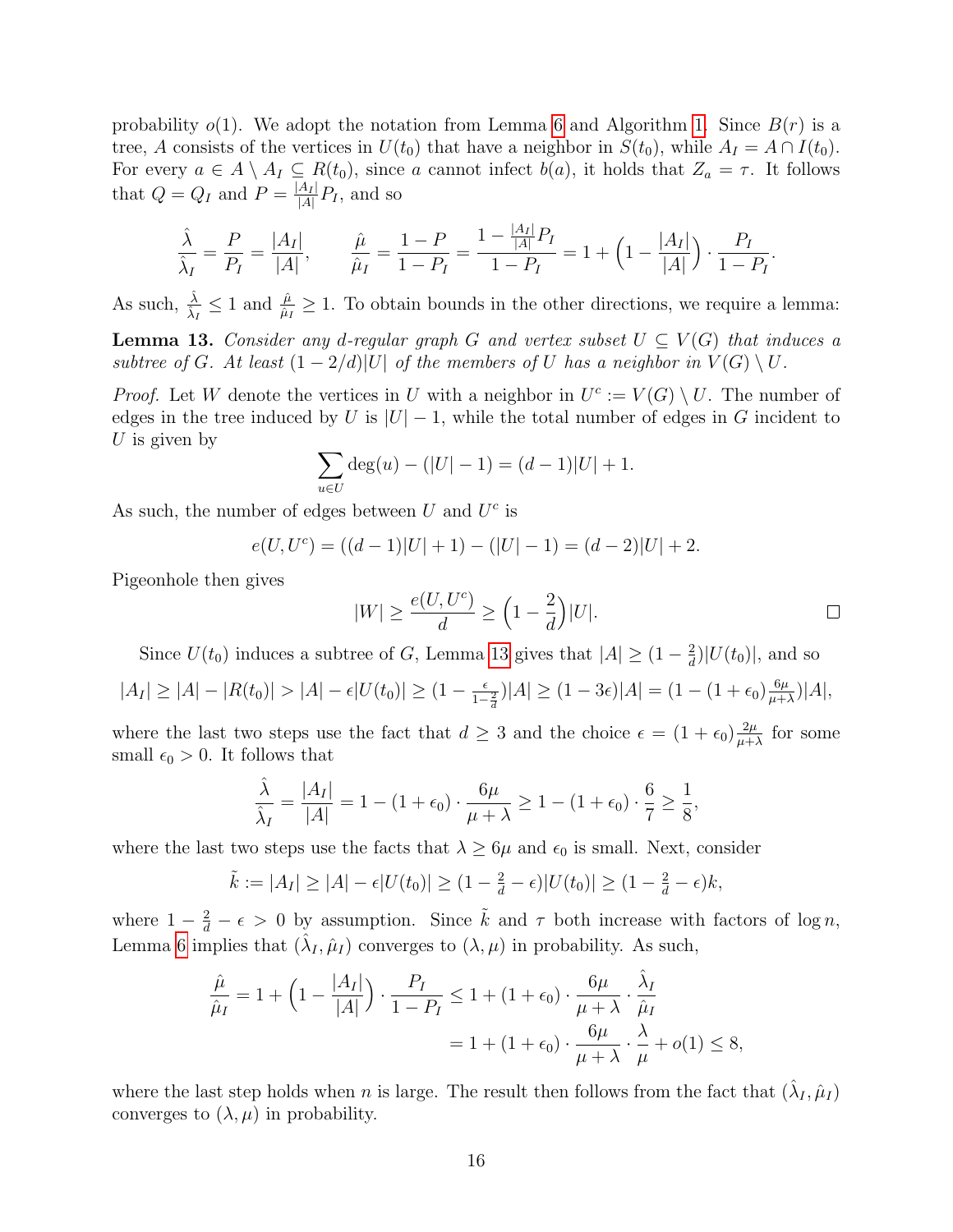probability  $o(1)$ . We adopt the notation from Lemma [6](#page-5-0) and Algorithm [1.](#page-6-0) Since  $B(r)$  is a tree, A consists of the vertices in  $U(t_0)$  that have a neighbor in  $S(t_0)$ , while  $A_I = A \cap I(t_0)$ . For every  $a \in A \setminus A_I \subseteq R(t_0)$ , since a cannot infect  $b(a)$ , it holds that  $Z_a = \tau$ . It follows that  $Q = Q_I$  and  $P = \frac{|A_I|}{|A|}$  $\frac{A_I}{|A|}P_I$ , and so

$$
\frac{\hat{\lambda}}{\hat{\lambda}_I} = \frac{P}{P_I} = \frac{|A_I|}{|A|}, \qquad \frac{\hat{\mu}}{\hat{\mu}_I} = \frac{1-P}{1-P_I} = \frac{1-\frac{|A_I|}{|A|}P_I}{1-P_I} = 1+\left(1-\frac{|A_I|}{|A|}\right)\cdot\frac{P_I}{1-P_I}.
$$

As such,  $\frac{\hat{\lambda}}{\hat{\lambda}_I} \leq 1$  and  $\frac{\hat{\mu}}{\hat{\mu}_I} \geq 1$ . To obtain bounds in the other directions, we require a lemma:

<span id="page-15-0"></span>**Lemma 13.** Consider any d-regular graph G and vertex subset  $U \subseteq V(G)$  that induces a subtree of G. At least  $(1-2/d)|U|$  of the members of U has a neighbor in  $V(G) \setminus U$ .

*Proof.* Let W denote the vertices in U with a neighbor in  $U^c := V(G) \setminus U$ . The number of edges in the tree induced by U is  $|U| - 1$ , while the total number of edges in G incident to U is given by

$$
\sum_{u \in U} \deg(u) - (|U| - 1) = (d - 1)|U| + 1.
$$

As such, the number of edges between  $U$  and  $U^c$  is

$$
e(U, U^c) = ((d-1)|U| + 1) - (|U| - 1) = (d-2)|U| + 2.
$$

Pigeonhole then gives

$$
|W| \ge \frac{e(U, U^c)}{d} \ge \left(1 - \frac{2}{d}\right)|U|.
$$

Since  $U(t_0)$  induces a subtree of G, Lemma [13](#page-15-0) gives that  $|A| \geq (1 - \frac{2}{d})$  $\frac{2}{d}$ )| $U(t_0)$ |, and so

$$
|A_I| \ge |A| - |R(t_0)| > |A| - \epsilon |U(t_0)| \ge (1 - \frac{\epsilon}{1 - \frac{2}{d}})|A| \ge (1 - 3\epsilon)|A| = (1 - (1 + \epsilon_0) \frac{6\mu}{\mu + \lambda})|A|,
$$

where the last two steps use the fact that  $d \geq 3$  and the choice  $\epsilon = (1 + \epsilon_0) \frac{2\mu}{n+1}$  $\frac{2\mu}{\mu+\lambda}$  for some small  $\epsilon_0 > 0$ . It follows that

$$
\frac{\hat{\lambda}}{\hat{\lambda}_I} = \frac{|A_I|}{|A|} = 1 - (1 + \epsilon_0) \cdot \frac{6\mu}{\mu + \lambda} \ge 1 - (1 + \epsilon_0) \cdot \frac{6}{7} \ge \frac{1}{8},
$$

where the last two steps use the facts that  $\lambda \geq 6\mu$  and  $\epsilon_0$  is small. Next, consider

$$
\tilde{k} := |A_I| \ge |A| - \epsilon |U(t_0)| \ge (1 - \frac{2}{d} - \epsilon) |U(t_0)| \ge (1 - \frac{2}{d} - \epsilon) k,
$$

where  $1 - \frac{2}{d} - \epsilon > 0$  by assumption. Since  $\tilde{k}$  and  $\tau$  both increase with factors of log n, Lemma [6](#page-5-0) implies that  $(\hat{\lambda}_I, \hat{\mu}_I)$  converges to  $(\lambda, \mu)$  in probability. As such,

$$
\frac{\hat{\mu}}{\hat{\mu}_I} = 1 + \left(1 - \frac{|A_I|}{|A|}\right) \cdot \frac{P_I}{1 - P_I} \le 1 + (1 + \epsilon_0) \cdot \frac{6\mu}{\mu + \lambda} \cdot \frac{\hat{\lambda}_I}{\hat{\mu}_I}
$$

$$
= 1 + (1 + \epsilon_0) \cdot \frac{6\mu}{\mu + \lambda} \cdot \frac{\lambda}{\mu} + o(1) \le 8,
$$

where the last step holds when n is large. The result then follows from the fact that  $(\hat{\lambda}_I, \hat{\mu}_I)$ converges to  $(\lambda, \mu)$  in probability.